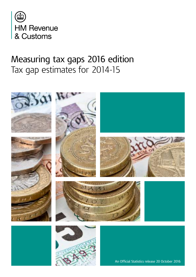

# Measuring tax gaps 2016 edition Tax gap estimates for 2014-15



An Official Statistics release 20 October 2016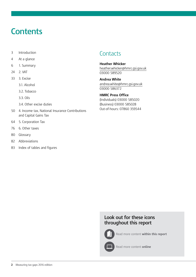# **Contents**

- 3 [Introduction](#page-2-0)
- 4 [At a glance](#page-3-0)
- [6 1. Summary](#page-5-0)
- 24 [2. VAT](#page-23-0)
- [33 3. Excise](#page-32-0)
	- [3.1. Alcohol](#page-33-0)
	- [3.2. Tobacco](#page-37-0)
	- [3.3. Oils](#page-42-0)
	- [3.4. Other excise duties](#page-43-0)
- 50 [4. Income tax, National Insurance Contributions](#page-49-0)  [and Capital Gains Tax](#page-49-0)
- [64 5. Corporation Tax](#page-63-0)
- 76 [6. Other taxes](#page-75-0)
- [80 Glossary](#page-79-0)
- 82 [Abbreviations](#page-81-0)
- 83 [Index of tables and figures](#page-82-0)

### **Contacts**

**Heather Whicker** [heather.whicker@hmrc.gsi.gov.uk](mailto:heather.whicker%40hmrc.gsi.gov.uk?subject=) 03000 589520

**Andrea White** [andrea.white@hmrc.gsi.gov.uk](mailto:andrea.white%40hmrc.gsi.gov.uk?subject=) 03000 586372

**HMRC Press Office** (Individuals) 03000 585020 (Business) 03000 585028 Out-of-hours: 07860 359544

#### **Look out for these icons throughout this report**



Read more content **within this report**



Read more content **online**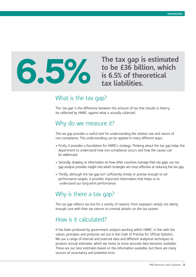<span id="page-2-0"></span>

**to be £36 billion, which is 6.5% of theoretical tax liabilities.**

### What is the tax gap?

The 'tax gap' is the difference between the amount of tax that should, in theory, be collected by HMRC, against what is actually collected.

### Why do we measure it?

The tax gap provides a useful tool for understanding the relative size and nature of non-compliance. This understanding can be applied in many different ways:

- Firstly, it provides a foundation for HMRC's strategy. Thinking about the tax gap helps the department to understand how non-compliance occurs and how the causes can be addressed.
- Secondly, drawing on information on how other countries manage their tax gaps, our tax gap analysis provides insight into which strategies are most effective at reducing the tax gap.
- Thirdly, although the tax gap isn't sufficiently timely or precise enough to set performance targets, it provides important information that helps us to understand our long-term performance.

## Why is there a tax gap?

The tax gap reflects tax lost for a variety of reasons, from taxpayers simply not taking enough care with their tax returns to criminal attacks on the tax system.

## How is it calculated?

It has been produced by government analysts working within HMRC, in line with the values, principles and protocols set out in the Code of Practice for Official Statistics. We use a range of internal and external data and different analytical techniques to produce annual estimates, which we revise as more accurate data becomes available. These are our best estimates based on the information available, but there are many sources of uncertainty and potential error.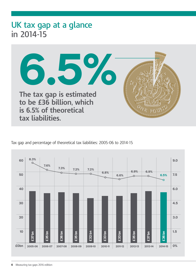# <span id="page-3-0"></span>**UK tax gap at a glance in 2014-15**



Tax gap and percentage of theoretical tax liabilities: 2005-06 to 2014-15

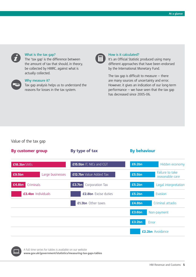

#### **What is the tax gap?**

The 'tax gap' is the difference between the amount of tax that should, in theory, be collected by HMRC, against what is actually collected.



#### **Why measure it?**

Tax gap analysis helps us to understand the reasons for losses in the tax system.



#### **How is it calculated?**

It's an Official Statistic produced using many different approaches that have been endorsed by the International Monetary Fund.

The tax gap is difficult to measure  $-$  there are many sources of uncertainty and error. However, it gives an indication of our long-term performance  $-$  we have seen that the tax gap has decreased since 2005-06.

#### Value of the tax gap





A full time series for tables is available on our website **www.gov.uk/government/statistics/measuring-tax-gaps-tables**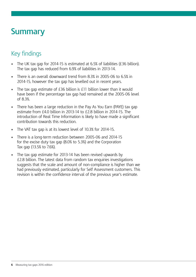# <span id="page-5-0"></span>**Summary**

# Key findings

- The UK tax gap for 2014-15 is estimated at 6.5% of liabilities (£36 billion). The tax gap has reduced from 6.9% of liabilities in 2013-14.
- There is an overall downward trend from 8.3% in 2005-06 to 6.5% in 2014-15, however the tax gap has levelled out in recent years.
- The tax gap estimate of  $£36$  billion is  $£11$  billion lower than it would have been if the percentage tax gap had remained at the 2005-06 level of 8.3%.
- There has been a large reduction in the Pay As You Earn (PAYE) tax gap estimate from £4.0 billion in 2013-14 to £2.8 billion in 2014-15. The introduction of Real Time Information is likely to have made a significant contribution towards this reduction.
- The VAT tax gap is at its lowest level of 10.3% for 2014-15.
- There is a long-term reduction between 2005-06 and 2014-15 for the excise duty tax gap (8.0% to 5.3%) and the Corporation Tax gap (13.5% to 7.6%).
- The tax gap estimate for 2013-14 has been revised upwards by £2.8 billion. The latest data from random tax enquiries investigations suggests that the scale and amount of non-compliance is higher than we had previously estimated, particularly for Self Assessment customers. This revision is within the confidence interval of the previous year's estimate.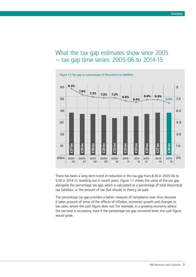### What the tax gap estimates show since 2005 — tax gap time series: 2005-06 to 2014-15



There has been a long-term trend of reduction in the tax gap from 8.3% in 2005-06 to 6.5% in 2014-15, levelling out in recent years. Figure 1.1 shows the value of the tax gap alongside the percentage tax gap, which is calculated as a percentage of total theoretical tax liabilities, or the amount of tax that should, in theory, be paid.

The percentage tax gap provides a better measure of compliance over time, because it takes account of some of the effects of inflation, economic growth and changes to tax rates, where the cash figure does not. For example, in a growing economy where the tax base is increasing, even if the percentage tax gap remained level, the cash figure would grow.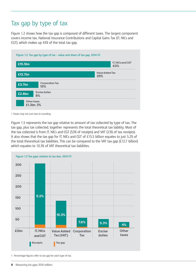# Tax gap by type of tax

Figure 1.2 shows how the tax gap is composed of different taxes. The largest component covers income tax, National Insurance Contributions and Capital Gains Tax (IT, NICs and CGT), which makes up 43% of the total tax gap.

| £15.5bn |                               | IT, NICs and CGT<br>43%       |
|---------|-------------------------------|-------------------------------|
| £12.7bn |                               | <b>Value Added Tax</b><br>35% |
| £3.7bn  | <b>Corporation Tax</b><br>10% |                               |
| £2.8bn  | <b>Excise duties</b><br>8%    |                               |

1 Totals may not sum due to rounding.

Figure 1.3 represents the tax gap relative to amount of tax collected by type of tax. The tax gap, plus tax collected, together represents the total theoretical tax liability. Most of the tax collected is from IT, NICs and CGT (53% of receipts) and VAT (23% of tax receipts). It also shows that the tax gap for IT, NICs and CGT of £15.5 billion equates to just 5.2% of the total theoretical tax liabilities. This can be compared to the VAT tax gap (£12.7 billion) which equates to 10.3% of VAT theoretical tax liabilities.



<sup>1</sup> Percentage figures refer to tax gap for each type of tax.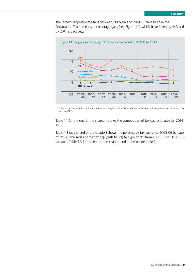The largest proportionate falls between 2005-06 and 2014-15 have been in the Corporation Tax and excise percentage gaps (see Figure 1.4), which have fallen by 44% and by 20% respectively.



1 'Other taxes' includes Stamp Duties, Inheritance Tax, Petroleum Revenue Tax, environmental taxes, Insurance Premium Tax and Landfill Tax.

Table 1.1 [\(at the end of the chapter\)](#page-15-0) shows the composition of tax gap estimates for 2014- 15.

Table 1.2 [\(at the end of the chapter\)](#page-16-0) shows the percentage tax gap since 2005-06 by type of tax. A time series of the tax gap (cash figure) by type of tax from 2005-06 to 2014-15 is shown in Table 1.3 [\(at the end of the chapter](#page-17-0) and in the online tables).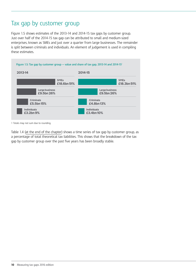# Tax gap by customer group

Figure 1.5 shows estimates of the 2013-14 and 2014-15 tax gaps by customer group. Just over half of the 2014-15 tax gap can be attributed to small and medium-sized enterprises, known as SMEs and just over a quarter from large businesses. The remainder is split between criminals and individuals. An element of judgement is used in compiling these estimates.



1 Totals may not sum due to rounding.

Table 1.4 [\(at the end of the chapter\)](#page-18-0) shows a time series of tax gap by customer group, as a percentage of total theoretical tax liabilities. This shows that the breakdown of the tax gap by customer group over the past five years has been broadly stable.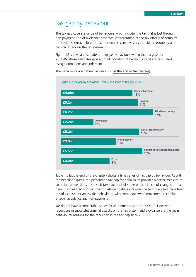# Tax gap by behaviour

The tax gap covers a range of behaviours which include: the tax that is lost through non-payment, use of avoidance schemes, interpretation of the tax effects of complex transactions, error, failure to take reasonable care, evasion, the hidden economy and criminal attack on the tax system.

Figure 1.6 shows an estimate of taxpayer behaviours within the tax gaps for 2014-15. These estimates give a broad indication of behaviours and are calculated using assumptions and judgment.



The behaviours are defined in Table 1.7 [\(at the end of the chapter\)](#page-19-0).

Table 1.5 [\(at the end of the chapter](#page-18-0)) shows a time series of tax gap by behaviour. As with the headline figures, the percentage tax gap for behaviours provides a better measure of compliance over time, because it takes account of some of the effects of changes to tax base. It shows that non-compliant customer behaviours over the past five years have been broadly consistent across the behaviours, with some downward movement in criminal attacks, avoidance and non-payment.

We do not have a comparable series for all elements prior to 2009-10. However, reductions in successful criminal attacks on the tax system and avoidance are the main behavioural reasons for the reduction in the tax gap since 2005-06.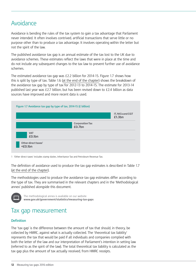# Avoidance

Avoidance is bending the rules of the tax system to gain a tax advantage that Parliament never intended. It often involves contrived, artificial transactions that serve little or no purpose other than to produce a tax advantage. It involves operating within the letter but not the spirit of the law.

The published avoidance tax gap is an annual estimate of the tax lost to the UK due to avoidance schemes. These estimates reflect the laws that were in place at the time and do not include any subsequent changes to the tax law to prevent further use of avoidance schemes.

The estimated avoidance tax gap was £2.2 billion for 2014-15. Figure 1.7 shows how this is split by type of tax. Table 1.6 [\(at the end of the chapter\)](#page-18-0) shows the breakdown of the avoidance tax gap by type of tax for 2012-13 to 2014-15. The estimate for 2013-14 published last year was £2.7 billion, but has been revised down to £2.4 billion as data sources have improved and more recent data is used.



1 'Other direct taxes' includes stamp duties, Inheritance Tax and Petroleum Revenue Tax.

The definition of avoidance used to produce the tax gap estimates is described in Table 1.7 ([at the end of the chapter](#page-19-0)).

The methodologies used to produce the avoidance tax gap estimates differ according to the type of tax. They are summarised in the relevant chapters and in the 'Methodological annex' published alongside this document.



The methodological annex is available on our website **www.gov.uk/government/statistics/measuring-tax-gaps**

## Tax gap measurement

#### **Definition**

The 'tax gap' is the difference between the amount of tax that should, in theory, be collected by HMRC, against what is actually collected. The 'theoretical tax liability' represents the tax that would be paid if all individuals and companies complied with both the letter of the law and our interpretation of Parliament's intention in setting law (referred to as the spirit of the law). The total theoretical tax liability is calculated as the tax gap plus the amount of tax actually received, from HMRC receipts.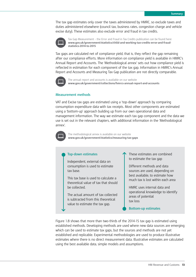The tax gap estimates only cover the taxes administered by HMRC, so exclude taxes and duties administered elsewhere (council tax, business rates, congestion charge and vehicle excise duty). These estimates also exclude error and fraud in tax credits.



Tax Gap Measurement – the Error and Fraud in Tax Credits publication can be found here: **www.gov.uk/government/statistics/child-and-working-tax-credits-error-and-fraudstatistics-2014-to-2015**

Tax gaps are calculated net of compliance yield, that is, they reflect the gap remaining after our compliance efforts. More information on compliance yield is available in HMRC's Annual Report and Accounts. The 'Methodological annex' sets out how compliance yield is reflected in estimation for each component of the tax gap. Information in HMRC's Annual Report and Accounts and Measuring Tax Gap publication are not directly comparable.



The annual report and accounts is available on our website **www.gov.uk/government/collections/hmrcs-annual-report-and-accounts**

#### **Measurement methods**

VAT and Excise tax gaps are estimated using a 'top-down' approach by comparing consumption expenditure data with tax receipts. Most other components are estimated using a 'bottom-up' approach building up from our own operational data and management information. The way we estimate each tax gap component and the data we use is set out in the relevant chapters, with additional information in the 'Methodological annex'.



The methodological annex is available on our website **www.gov.uk/government/statistics/measuring-tax-gaps**

#### **Top-down estimates**

Independent, external data on consumption is used to estimate tax base.

This tax base is used to calculate a theoretical value of tax that should be collected.

The actual amount of tax collected is subtracted from this theoretical value to estimate the tax gap.

These estimates are combined to estimate the tax gap

Different methods and data sources are used, depending on best available, to estimate how much tax is lost within each area

HMRC uses internal data and operational knowledge to identify areas of potential tax loss

**Bottom-up estimates**

Figure 1.8 shows that more than two-thirds of the 2014-15 tax gap is estimated using established methods. Developing methods are used where new data sources are emerging which can be used to estimate tax gaps, but the sources and methods are not yet established and replicable. Experimental methodologies are used to produce illustrative estimates where there is no direct measurement data. Illustrative estimates are calculated using the best available data, simple models and assumptions.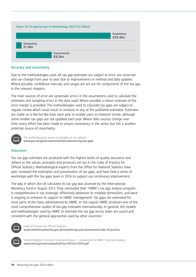

#### **Accuracy and uncertainty**

Due to the methodologies used, all tax gap estimates are subject to error, are uncertain and can change from year to year due to improvements in method and data updates. Where possible, confidence intervals and ranges are set out for components of the tax gap in the relevant chapters.

The main sources of error are systematic errors in the assumptions used to calculate the estimates and sampling errors in the data used. Where possible a robust estimate of the error margin is provided. The methodologies used to calculate tax gaps are subject to regular review which could result in revisions to any of the published estimates. Estimates are made on a like-for-like basis each year to enable users to interpret trends, although some smaller tax gaps are not updated each year. Where data sources change over time, every effort has been made to ensure consistency in the series, but this is another potential source of uncertainty.



The methodological annex is available on our website **www.gov.uk/government/statistics/measuring-tax-gaps**

#### **Assurance**

Our tax gap estimates are produced with the highest levels of quality assurance and adhere to the values, principles and protocols set out in the Code of Practice for Official Statistics. Methodological experts from the Office for National Statistics have peer reviewed the estimation and presentation of tax gaps, and have held a series of workshops with the tax gaps team in 2016 to support our continuous improvement.

The way in which the UK calculates its tax gap was assessed by the International Monetary Fund in August 2013. They concluded that: "HMRC's tax gap analysis program is comprehensive in tax coverage, effectively addresses its multiple dimensions, and work is ongoing to enhance its support to HMRC management. Tax gaps are estimated for most parts of the taxes administered by HMRC. In this regard, HMRC produces one of the most comprehensive studies of tax gap estimates internationally. In general, the models and methodologies used by HMRC to estimate the tax gap across taxes are sound and consistent with the general approaches used by other countries."



Code of Practice for Official Statistics: **www.statisticsauthority.gov.uk/monitoring-and-assessment/code-of-practice**



United Kingdom: Technical Assistance Report — Assessment of HMRC's Tax Gap Analysis: **www.imf.org/external/pubs/ft/scr/2013/cr13314.pdf**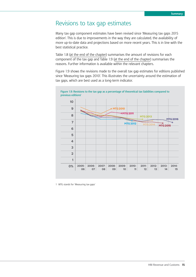## Revisions to tax gap estimates

Many tax gap component estimates have been revised since 'Measuring tax gaps 2015 edition'. This is due to improvements in the way they are calculated, the availability of more up-to-date data and projections based on more recent years. This is in line with the best statistical practice.

Table 1.8 [\(at the end of the chapter\)](#page-20-0) summarises the amount of revisions for each component of the tax gap and Table 1.9 [\(at the end of the chapter\)](#page-21-0) summarises the reasons. Further information is available within the relevant chapters.

Figure 1.9 shows the revisions made to the overall tax gap estimates for editions published since 'Measuring tax gaps 2010'. This illustrates the uncertainty around the estimation of tax gaps, which are best used as a long-term indicator.



1 MTG stands for 'Measuring tax gaps'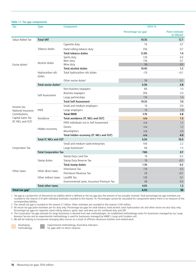<span id="page-15-0"></span>

| Tax                        | <b>Type</b>                      | Component                                  | 2014-15                         |                                          |
|----------------------------|----------------------------------|--------------------------------------------|---------------------------------|------------------------------------------|
|                            |                                  |                                            | Percentage tax gap <sup>1</sup> | Point estimate<br>$(E\text{ billion})^2$ |
| Value Added Tax            | <b>Total VAT</b>                 |                                            | 10.3%                           | 12.7                                     |
|                            |                                  | Cigarette duty                             | 7%                              | 0.7                                      |
|                            | Tobacco duties                   | Hand-rolling tobacco duty                  | 35%                             | 0.7                                      |
|                            |                                  | <b>Total tobacco duties</b>                | 12.8%                           | 1.4                                      |
| Excise duties <sup>3</sup> |                                  | Spirits duty                               | 12%                             | 0.4                                      |
|                            | Alcohol duties                   | Beer duty                                  | 15%                             | 0.7                                      |
|                            |                                  | Wine duty                                  | 3%                              | 0.1                                      |
|                            |                                  | <b>Total alcohol duties</b>                | 10.4%                           | 1.2                                      |
|                            | Hydrocarbon oils<br>duties       | Total hydrocarbon oils duties              | $\langle$ ]%                    | (0.1)                                    |
|                            |                                  | Other excise duties <sup>3</sup>           | 5%                              | 0.1                                      |
|                            | Total excise duties <sup>3</sup> |                                            | 5.3%                            | 2.8                                      |
|                            |                                  | Non-business taxpayers                     | 8%                              | 1.0                                      |
|                            | Self Assessment                  | Business taxpayers                         | 26%                             | 5.0                                      |
|                            |                                  | Large partnerships                         | 11%                             | 1.0                                      |
|                            |                                  | <b>Total Self Assessment</b>               | 19.2%                           | 7.0                                      |
| Income tax,                | PAYE                             | Small and medium employers                 | 1%                              | 0.9                                      |
| National Insurance         |                                  | Large employers                            | 1%                              | 1.9                                      |
| Contributions,             |                                  | <b>Total PAYE</b>                          | 1.1%                            | 2.8                                      |
| Capital Gains Tax          | Avoidance                        | Total avoidance (IT, NICs and CGT)         | n/a                             | 1.3                                      |
| (IT, NICs and CGT)         |                                  | PAYE individuals not in Self Assessment    | n/a                             | 1.2                                      |
|                            | Hidden economy                   | Ghosts                                     | n/a                             | 1.2                                      |
|                            |                                  | Moonlighters                               | n/a                             | 2.0                                      |
|                            |                                  | Total hidden economy (IT, NICs and CGT)    | n/a                             | 4.4                                      |
|                            | Total IT, NICs and CGT           |                                            | 5.2%                            | 15.5                                     |
|                            |                                  | Small and medium-sized enterprises         | 10%                             | 2.2                                      |
| Corporation Tax            |                                  | Large businesses <sup>4</sup>              | 6%                              | 1.5                                      |
|                            | <b>Total Corporation Tax</b>     |                                            | 7.6%                            | 3.7                                      |
|                            |                                  | Stamp Duty Land Tax                        | 1%                              | 0.2                                      |
|                            | Stamp duties                     | Stamp Duty Reserve Tax                     | 1%                              | (0.1)                                    |
|                            |                                  | Total stamp duties                         | 1.3%                            | 0.2                                      |
| Other taxes                | Other direct taxes               | Inheritance Tax                            | 11%                             | 0.5                                      |
|                            |                                  | Petroleum Revenue Tax                      | 2%                              | (0.1)                                    |
|                            | Other indirect taxes             | Landfill Tax                               | 12%                             | 0.1                                      |
|                            |                                  | Environmental taxes, Insurance Premium Tax | 4%                              | 0.5                                      |
|                            | Total other taxes                |                                            | 4.0%                            | 1.3                                      |
| Total tax gap <sup>5</sup> |                                  |                                            | 6.5%                            | 36                                       |

1 Tax gap as a proportion of theoretical tax liability which is defined as the tax gap plus the amount of tax actually received. Total percentage tax gap estimates are rounded to the nearest 0.1% with individual estimates rounded to the nearest 1%. Percentages cannot be calculated for components where there is no measure of the corresponding liability.

2 The overall tax gap is rounded to the nearest £1 billion. Other estimates are rounded to the nearest £100 million.

3 All excise tax gap point estimates are for duty only. Percentage tax gaps for total tobacco, total alcohol, total hydrocarbon oils and other excise are also duty only. Percentage tax gaps for cigarette, hand-rolling tobacco, spirits, beer and wine are for combined duty and VAT.

4 The Corporation Tax gap estimate for large businesses is derived from two methodologies. An established methodology exists for businesses managed by our Large Business Service and an experimental methodology is used for businesses managed by HMRC's Large and Complex unit.

5 We will be looking to incorporate emerging data sources as a result of offshore disclosure facilities and related work.

Developing methodology. Experimental methodology, illustrative indicators for gaps with no direct measure.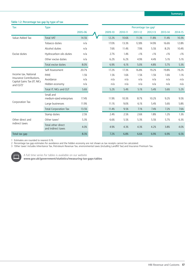| Tax                                                     | <b>Type</b>                              |         |         |         | Percentage tax gap <sup>1</sup> |              |              |              |
|---------------------------------------------------------|------------------------------------------|---------|---------|---------|---------------------------------|--------------|--------------|--------------|
|                                                         |                                          | 2005-06 | 2009-10 | 2010-11 | 2011-12                         | 2012-13      | 2013-14      | 2014-15      |
| Value Added Tax                                         | <b>Total VAT</b>                         | 14.5%   | 12.2%   | 10.6%   | 11.3%                           | 11.8%        | 11.4%        | 10.3%        |
|                                                         | Tobacco duties                           | n/a     | 17.0%   | 13.3%   | 12.8%                           | 14.9%        | 16.6%        | 12.8%        |
|                                                         | Alcohol duties                           | n/a     | 7.6%    | 11.4%   | 7.9%                            | 5.5%         | 8.2%         | 10.4%        |
| Excise duties                                           | Hydrocarbon oils duties                  | n/a     | 2.7%    | 1.4%    | $\langle$ 1%                    | $\langle$ 1% | $\langle$ 1% | $\langle$ ]% |
|                                                         | Other excise duties                      | n/a     | 6.2%    | 6.2%    | 4.9%                            | 4.4%         | 5.1%         | 5.1%         |
|                                                         | Total excise duties                      | 8.0%    | 6.9%    | 6.1%    | 5.0%                            | 4.8%         | 5.7%         | 5.3%         |
|                                                         | Self Assessment                          | 20.7%   | 17.2%   | 17.3%   | 16.8%                           | 19.2%        | 19.8%        | 19.2%        |
| Income tax, National                                    | PAYE                                     | 1.5%    | 1.5%    | 1.6%    | 1.5%                            | 1.5%         | 1.6%         | 1.1%         |
| Insurance Contributions,<br>Capital Gains Tax (IT, NICs | Avoidance                                | n/a     | n/a     | n/a     | n/a                             | n/a          | n/a          | n/a          |
| and CGT) <sup>2</sup>                                   | Hidden economy                           | n/a     | n/a     | n/a     | n/a                             | n/a          | n/a          | n/a          |
|                                                         | Total IT, NICs and CGT                   | 5.6%    | 5.2%    | 5.4%    | 5.1%                            | 5.4%         | 5.6%         | 5.2%         |
|                                                         | Small and                                |         |         |         |                                 |              |              |              |
| Corporation Tax                                         | medium-sized enterprises                 | 17.4%   | 11.9%   | 10.3%   | 8.7%                            | 10.2%        | 9.2%         | 9.5%         |
|                                                         | Large businesses                         | 11.9%   | 11.1%   | 9.0%    | 6.1%                            | 5.4%         | 5.6%         | 5.8%         |
|                                                         | <b>Total Corporation Tax</b>             | 13.5%   | 11.4%   | 9.5%    | 7.1%                            | 7.4%         | 7.2%         | 7.6%         |
|                                                         | Stamp duties                             | 2.5%    | 2.4%    | 2.5%    | 2.6%                            | 1.8%         | 1.2%         | 1.3%         |
| Other direct and                                        | Other taxes <sup>3</sup>                 | 5.3%    | 6.6%    | 5.5%    | 5.3%                            | 5.5%         | 5.7%         | 6.3%         |
| indirect taxes                                          | Total other direct<br>and indirect taxes | 4.0%    | 4.9%    | 4.3%    | 4.3%                            | 4.2%         | 3.8%         | 4.0%         |
| Total tax gap                                           |                                          | 8.3%    | 7.2%    | 6.8%    | 6.6%                            | 6.9%         | 6.9%         | 6.5%         |

#### <span id="page-16-0"></span>**Table 1.2: Percentage tax gap by type of tax**

1 Estimates are rounded to nearest 0.1%.

2 Percentage tax gap estimates for avoidance and the hidden economy are not shown as tax receipts cannot be calculated.

3 'Other taxes' includes Inheritance Tax, Petroleum Revenue Tax, environmental taxes (including Landfill Tax) and Insurance Premium Tax.



A full time series for tables is available on our website<br>www.gov.uk/government/statistics/measuring-tax-gaps-tables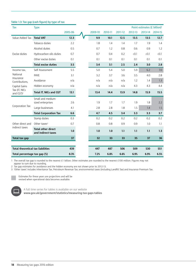| Tax                                      | <b>Type</b>                                     |         |         |         |                      |         | Point estimates (£ billion) <sup>1</sup> |         |
|------------------------------------------|-------------------------------------------------|---------|---------|---------|----------------------|---------|------------------------------------------|---------|
|                                          |                                                 | 2005-06 | 2009-10 | 2010-11 | 2011-12              | 2012-13 | 2013-14                                  | 2014-15 |
| Value Added Tax                          | <b>Total VAT</b>                                | 12.3    | 9.9     | 10.1    | 12.5                 | 13.5    | 13.5                                     | 12.7    |
|                                          | Tobacco duties                                  | 2.2     | 1.8     | 1.4     | 1.4                  | 1.7     | 1.9                                      | 1.4     |
|                                          | Alcohol duties                                  | 0.5     | 0.7     | 1.2     | 0.8                  | 0.6     | 0.9                                      | 1.2     |
| Excise duties                            | Hydrocarbon oils duties                         | 0.7     | 0.7     | 0.4     | 0.2                  | (0.1)   | (0.1)                                    | (0.1)   |
|                                          | Other excise duties                             | 0.1     | 0.1     | 0.1     | 0.1                  | 0.1     | 0.1                                      | 0.1     |
|                                          | <b>Total excise duties</b>                      | 3.5     | 3.4     | 3.1     | 2.5                  | 2.4     | 3.0                                      | 2.8     |
| Income tax,                              | Self Assessment                                 | 5.5     | 5.0     | 5.4     | 5.0                  | 5.9     | 6.2                                      | 7.0     |
| National                                 | PAYE                                            | 3.1     | 3.2     | 3.7     | 3.6                  | 3.5     | 4.0                                      | 2.8     |
| Insurance<br>Contributions,              | Avoidance                                       | n/a     | n/a     | n/a     | n/a                  | 1.2     | 1.4                                      | 1.3     |
| Capital Gains                            | Hidden economy                                  | n/a     | n/a     | n/a     | n/a                  | 4.3     | 4.3                                      | 4.4     |
| Tax (IT, NICs<br>and CGT) <sup>2</sup>   | <b>Total IT, NICs and CGT</b>                   | 13.1    | 13.4    | 14.4    | 13.9                 | 14.8    | 15.9                                     | 15.5    |
|                                          | Small and medium-<br>sized enterprises          | 2.6     | 1.9     | 1.7     | 1.7                  | 1.9     | 1.8                                      | 2.2     |
| Corporation Tax                          | Large businesses                                | 4.1     | 2.8     | 2.8     | 1.8                  | 1.5     | 1.4                                      | 1.5     |
|                                          | <b>Total Corporation Tax</b>                    | 6.6     | 4.7     | 4.5     | 3.4                  | 3.3     | 3.3                                      | 3.7     |
|                                          | Stamp duties                                    | 0.3     | 0.2     | 0.2     | 0.2                  | 0.2     | 0.2                                      | 0.2     |
| Other direct and                         | Other taxes $3$                                 | 0.7     | 0.8     | 0.8     | 0.9                  | 0.9     | 1.0                                      | 1.1     |
| indirect taxes                           | <b>Total other direct</b><br>and indirect taxes | 1.0     | 1.0     | 1.0     | 1.1                  | 1.1     | 1.1                                      | 1.3     |
| Total tax gap                            |                                                 | 37      | 32      | 33      | 33                   | 35      | 37                                       | 36      |
|                                          |                                                 |         |         |         |                      |         |                                          |         |
| <b>Total theoretical tax liabilities</b> |                                                 | 439     | 447     | 487     | 506                  | 509     | 530                                      | 551     |
| Total percentage tax gap (%)             |                                                 | 8.3%    | 7.2%    | 6.8%    | 6.6%<br>6.9%<br>6.9% |         | 6.5%                                     |         |

#### <span id="page-17-0"></span>**Table 1.3: Tax gap (cash figure) by type of tax**

1 The overall tax gap is rounded to the nearest £1 billion. Other estimates are rounded to the nearest £100 million. Figures may not appear to sum due to rounding.

2 Tax gap estimates for avoidance and the hidden economy are not shown prior to 2012-13.

3 'Other taxes' includes Inheritance Tax, Petroleum Revenue Tax, environmental taxes (including Landfill Tax) and Insurance Premium Tax.



Estimates for these years are projections and will be revised when operational data becomes available.



A full time series for tables is available on our website

**www.gov.uk/government/statistics/measuring-tax-gaps-tables**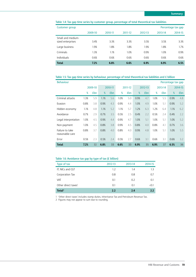<span id="page-18-0"></span>

|  |  |  |  | Table 1.4: Tax gap time series by customer group, percentage of total theoretical tax liabilities |
|--|--|--|--|---------------------------------------------------------------------------------------------------|
|--|--|--|--|---------------------------------------------------------------------------------------------------|

| Customer group                         |         |         |         |         |         | Percentage tax gap |
|----------------------------------------|---------|---------|---------|---------|---------|--------------------|
|                                        | 2009-10 | 2010-11 | 2011-12 | 2012-13 | 2013-14 | 2014-15            |
| Small and medium-<br>sized enterprises | 3.4%    | 3.3%    | 3.3%    | 3.5%    | 3.5%    | 3.3%               |
| Large business                         | 1.9%    | 1.8%    | 1.8%    | 1.9%    | 1.8%    | 1.7%               |
| Criminals                              | 1.3%    | 1.1%    | 1.0%    | 0.9%    | 1.0%    | 0.9%               |
| Individuals                            | 0.6%    | 0.6%    | 0.6%    | 0.6%    | 0.6%    | 0.6%               |
| <b>Total</b>                           | 7.2%    | 6.8%    | 6.6%    | 6.9%    | 6.9%    | 6.5%               |

**Table 1.5: Tax gap time series by behaviour, percentage of total theoretical tax liabilities and £ billion**

| <b>Behaviour</b><br>Percentage tax gap |      |         |      |            |      |            |      |            |      |            |      |            |
|----------------------------------------|------|---------|------|------------|------|------------|------|------------|------|------------|------|------------|
|                                        |      | 2009-10 |      | 2010-11    |      | 2011-12    |      | 2012-13    |      | 2013-14    |      | 2014-15    |
|                                        | %    | £bn     | %    | <b>£bn</b> | %    | <b>£bn</b> | %    | <b>£bn</b> | %    | <b>£bn</b> | %    | <b>£bn</b> |
| Criminal attacks                       | 1.3% | 5.9     | 1.1% | 5.6        | 1.0% | 5.0        | 0.9% | 4.7        | 1.0% | 5.5        | 0.9% | 4.8        |
| Evasion                                | 0.8% | 3.8     | 0.9% | 4.3        | 0.9% | 4.4        | 1.0% | 4.9        | 1.0% | 5.1        | 0.9% | 5.2        |
| Hidden economy                         | 1.1% | 4.8     | 1.1% | 5.2        | 1.1% | 5.7        | 1.2% | 6.3        | 1.2% | 6.4        | 1.1% | 6.2        |
| Avoidance                              | 0.7% | 2.9     | 0.7% | 3.5        | 0.5% | 2.5        | 0.4% | 2.2        | 0.5% | 2.4        | 0.4% | 2.2        |
| Legal interpretation                   | 1.0% | 4.5     | 0.9% | 4.4        | 0.9% | 4.7        | 1.0% | 5.1        | 1.0% | 5.1        | 1.0% | 5.2        |
| Non-payment                            | 1.0% | 4.5     | 0.8% | 3.8        | 0.9% | 4.5        | 0.8% | 4.0        | 0.8% | 4.1        | 0.7% | 3.6        |
| Failure to take<br>reasonable care     | 0.8% | 3.7     | 0.8% | 4.0        | 0.8% | 4.0        | 0.9% | 4.8        | 1.0% | 5.1        | 1.0% | 5.5        |
| Error                                  | 0.5% | 2.3     | 0.5% | 2.4        | 0.5% | 2.7        | 0.6% | 3.1        | 0.6% | 3.1        | 0.6% | 3.2        |
| <b>Total</b>                           | 7.2% | 32      | 6.8% | 33         | 6.6% | 33         | 6.9% | 35         | 6.9% | 37         | 6.5% | 36         |

#### **Table 1.6: Avoidance tax gap by type of tax (£ billion)**

| Type of tax                     | 2012-13 | 2013-14 | 2014-15 |
|---------------------------------|---------|---------|---------|
| IT, NICs and CGT                | 1.2     | 1.4     | 1.3     |
| Corporation Tax                 | 0.8     | 0.8     | 0.7     |
| VAT                             | 0.1     | 0.2     | 0.1     |
| Other direct taxes <sup>1</sup> | 0.1     | 0.1     | (0.1)   |
| Total <sup>2</sup>              | 2.2     | 2.4     | 2.2     |

1 'Other direct taxes' includes stamp duties, Inheritance Tax and Petroleum Revenue Tax.

2 Figures may not appear to sum due to rounding.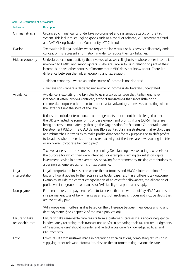| <b>Behaviour</b>                   | <b>Description</b>                                                                                                                                                                                                                                                                                                                                                                                                                                                                                                                                                                                             |
|------------------------------------|----------------------------------------------------------------------------------------------------------------------------------------------------------------------------------------------------------------------------------------------------------------------------------------------------------------------------------------------------------------------------------------------------------------------------------------------------------------------------------------------------------------------------------------------------------------------------------------------------------------|
| Criminal attacks                   | Organised criminal gangs undertake co-ordinated and systematic attacks on the tax<br>system. This includes smuggling goods such as alcohol or tobacco, VAT repayment fraud<br>and VAT Missing Trader Intra-Community (MTIC) fraud.                                                                                                                                                                                                                                                                                                                                                                             |
| Evasion                            | Tax evasion is illegal activity, where registered individuals or businesses deliberately omit,<br>conceal or misrepresent information in order to reduce their tax liabilities.                                                                                                                                                                                                                                                                                                                                                                                                                                |
| Hidden economy                     | Undeclared economic activity that involves what we call 'ghosts' - whose entire income is<br>unknown to HMRC, and 'moonlighters' - who are known to us in relation to part of their<br>income, but have other sources of income that HMRC does not know about. There is a<br>difference between the hidden economy and tax evasion:                                                                                                                                                                                                                                                                            |
|                                    | • Hidden economy - where an entire source of income is not declared.                                                                                                                                                                                                                                                                                                                                                                                                                                                                                                                                           |
|                                    | • Tax evasion - where a declared net source of income is deliberately understated.                                                                                                                                                                                                                                                                                                                                                                                                                                                                                                                             |
| Avoidance                          | Avoidance is exploiting the tax rules to gain a tax advantage that Parliament never<br>intended. It often involves contrived, artificial transactions that serve little or no<br>commercial purpose other than to produce a tax advantage. It involves operating within<br>the letter but not the spirit of the law.                                                                                                                                                                                                                                                                                           |
|                                    | It does not include international tax arrangements that cannot be challenged under<br>the UK law, including some forms of base erosion and profit shifting (BEPS). These are<br>being addressed multilaterally through the Organisation for Economic Co-operation and<br>Development (OECD). The OECD defines BEPS as "tax planning strategies that exploit gaps<br>and mismatches in tax rules to make profits disappear for tax purposes or to shift profits<br>to locations where there is little or no real activity but the taxes are low resulting in little<br>or no overall corporate tax being paid". |
|                                    | Tax avoidance is not the same as tax planning. Tax planning involves using tax reliefs for<br>the purpose for which they were intended. For example, claiming tax relief on capital<br>investment, saving in a tax-exempt ISA or saving for retirement by making contributions to<br>a pension scheme are all forms of tax planning.                                                                                                                                                                                                                                                                           |
| Legal<br>interpretation            | Legal interpretation losses arise where the customer's and HMRC's interpretation of the<br>law and how it applies to the facts in a particular case, result in a different tax outcome.<br>Examples include the correct categorisation of an asset for allowances, the allocation of<br>profits within a group of companies, or VAT liability of a particular supply.                                                                                                                                                                                                                                          |
| Non-payment                        | For direct taxes, non-payment refers to tax debts that are written off by HMRC and result<br>in a permanent loss of tax - mainly as a result of insolvency. It does not include debts that<br>are eventually paid.                                                                                                                                                                                                                                                                                                                                                                                             |
|                                    | VAT non-payment differs as it is based on the difference between new debts arising and<br>debt payments (see Chapter 2 of the main publication).                                                                                                                                                                                                                                                                                                                                                                                                                                                               |
| Failure to take<br>reasonable care | Failure to take reasonable care results from a customer's carelessness and/or negligence<br>in adequately recording their transactions and/or in preparing their tax returns. Judgments<br>of 'reasonable care' should consider and reflect a customer's knowledge, abilities and<br>circumstances.                                                                                                                                                                                                                                                                                                            |
| Error                              | Errors result from mistakes made in preparing tax calculations, completing returns or in<br>supplying other relevant information, despite the customer taking reasonable care.                                                                                                                                                                                                                                                                                                                                                                                                                                 |

#### <span id="page-19-0"></span>**Table 1.7: Description of behaviours**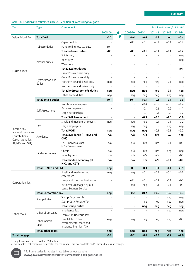#### <span id="page-20-0"></span>**Table 1.8: Revisions to estimates since 2015 edition of 'Measuring tax gaps'**

| Tax                                 | <b>Type</b>                  | Component                                                               |         |           |                          |                          | Point estimates (£ billion) <sup>1,2</sup> |         |
|-------------------------------------|------------------------------|-------------------------------------------------------------------------|---------|-----------|--------------------------|--------------------------|--------------------------------------------|---------|
|                                     |                              |                                                                         | 2005-06 | 2009-10   | 2010-11                  | 2011-12                  | 2012-13                                    | 2013-14 |
| Value Added Tax                     | <b>Total VAT</b>             |                                                                         | $-0.2$  | $-0.4$    | $-0.6$                   | $-0.5$                   | neg                                        | $+0.4$  |
|                                     |                              | Cigarette duty                                                          |         | $+0.1$    | $+0.1$                   | $+0.1$                   | $+0.1$                                     | $+0.2$  |
|                                     | Tobacco duties               | Hand-rolling tobacco duty                                               | $+0.1$  | $\bar{a}$ |                          |                          |                                            |         |
|                                     |                              | <b>Total tobacco duties</b>                                             | $+0.1$  | $+0.1$    | $+0.1$                   | $+0.1$                   | $+0.1$                                     | $+0.2$  |
|                                     |                              | Spirits duty                                                            |         |           |                          |                          |                                            | neg     |
|                                     | Alcohol duties               | Beer duty                                                               |         |           |                          |                          |                                            | neg     |
|                                     |                              | Wine duty                                                               |         |           |                          |                          |                                            |         |
| Excise duties                       |                              | <b>Total alcohol duties</b>                                             |         |           |                          |                          |                                            | $+0.1$  |
|                                     |                              | Great Britain diesel duty                                               |         |           |                          | L,                       |                                            |         |
|                                     | Hydrocarbon oils             | Great Britain petrol duty                                               |         |           |                          |                          |                                            |         |
|                                     | duties                       | Northern Ireland diesel duty                                            | neq     | neg       | neg                      | neq                      | $-0.1$                                     | neq     |
|                                     |                              | Northern Ireland petrol duty                                            |         |           |                          |                          |                                            |         |
|                                     |                              | Total hydrocarbon oils duties                                           | neg     | neg       | neg                      | neg                      | -0.1                                       | neg     |
|                                     |                              | Other excise duties                                                     | neg     | neg       | neg                      | neq                      | neq                                        | neq     |
|                                     | <b>Total excise duties</b>   |                                                                         | $+0.1$  | $+0.1$    | $+0.1$                   | $+0.1$                   | $+0.1$                                     | $+0.3$  |
|                                     |                              | Non-business taxpayers                                                  |         | ÷,        | $+0.4$                   | $+0.2$                   | $+0.3$                                     | $+0.4$  |
|                                     | Self Assessment              | Business taxpayers                                                      |         | L.        | $-0.1$                   | $+0.2$                   | $+0.9$                                     | $+1.1$  |
|                                     |                              | Large partnerships                                                      |         |           | $+0.1$                   | $+0.1$                   | $+0.3$                                     | $+0.2$  |
|                                     |                              | <b>Total Self Assessment</b>                                            |         |           | $+0.3$                   | $+0.6$                   | $+1.5$                                     | $+1.6$  |
|                                     |                              | Small and medium employers                                              | neg     | neq       | neq                      | $+0.1$                   | $+0.1$                                     | $+0.2$  |
| Income tax,                         | PAYE                         | Large employers                                                         |         | neq       | neq                      | $\overline{\phantom{a}}$ | neg                                        | neg     |
| National Insurance                  |                              | <b>Total PAYE</b>                                                       | neg     | neg       | neg                      | $+0.1$                   | $+0.1$                                     | $+0.2$  |
| Contributions,<br>Capital Gains Tax | Avoidance                    | Total avoidance (IT, NICs and<br>CGT)                                   | n/a     | n/a       | n/a                      | n/a                      | $-0.2$                                     | neg     |
| (IT, NICs and CGT)                  |                              | PAYE individuals not<br>in Self Assessment                              | n/a     | n/a       | n/a                      | n/a                      | $+0.1$                                     | $+0.1$  |
|                                     |                              | Ghosts                                                                  | n/a     | n/a       | n/a                      | n/a                      | neq                                        | neg     |
|                                     | Hidden economy               | Moonlighters                                                            | n/a     | n/a       | n/a                      | n/a                      | $\overline{\phantom{a}}$                   | $+0.1$  |
|                                     |                              | Total hidden economy (IT,<br>NICs and CGT)                              | n/a     | n/a       | n/a                      | n/a                      | +0.1                                       | $+0.1$  |
|                                     | Total IT, NICs and CGT       |                                                                         | neg     | $-0.1$    | $-0.3$                   | $+0.1$                   | $+1.4$                                     | $+1.9$  |
|                                     |                              | Small and medium-sized<br>enterprises                                   | neg     | neg       | $+0.1$                   | $+0.4$                   | $+0.4$                                     | $+0.5$  |
|                                     |                              | Large and complex businesses                                            |         | $+0.1$    | $+0.1$                   | $+0.2$                   | $-0.1$                                     | $-0.1$  |
| Corporation Tax                     |                              | Businesses managed by our<br>Large Business Service                     |         | neg       | neg                      | $-0.1$                   | $-0.1$                                     | $-0.1$  |
|                                     | <b>Total Corporation Tax</b> |                                                                         | neg     | $+0.2$    | $+0.2$                   | $+0.5$                   | $+0.2$                                     | $+0.3$  |
|                                     |                              | Stamp Duty Land Tax                                                     |         |           |                          |                          | neg                                        | neg     |
|                                     | Stamp duties                 | Stamp Duty Reserve Tax                                                  |         |           | neg                      | neg                      | neg                                        | neg     |
|                                     |                              | <b>Total stamp duties</b>                                               |         |           | neg                      | neg                      | neg                                        | neg     |
|                                     |                              | Inheritance Tax                                                         |         |           |                          |                          | neg                                        | neq     |
| Other taxes                         | Other direct taxes           | Petroleum Revenue Tax                                                   |         | L.        | $\overline{\phantom{a}}$ | $\bar{\phantom{a}}$      |                                            |         |
|                                     | Other indirect<br>taxes      | Landfill Tax, Other<br>environmental taxes and<br>Insurance Premium Tax | neg     | neg       | neq                      | neq                      | neq                                        | $+0.1$  |
|                                     | <b>Total other taxes</b>     |                                                                         | neg     | neg       | neg                      | neg                      | neg                                        | neg     |
| Total tax gap                       |                              |                                                                         | $-0.2$  | $-0.2$    | $-0.6$                   | $+0.2$                   | $+1.7$                                     | $+2.8$  |

1 neg denotes revisions less than £50 million.

2 n/a denotes that comparable estimates for earlier years are not available and '-' means there is no change.

A full time series for tables is available on our website

**www.gov.uk/government/statistics/measuring-tax-gaps-tables**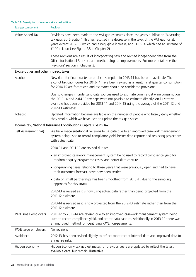| Tax gap component                      | <b>Revisions</b>                                                                                                                                                                                                                                                                                                                        |  |  |  |  |
|----------------------------------------|-----------------------------------------------------------------------------------------------------------------------------------------------------------------------------------------------------------------------------------------------------------------------------------------------------------------------------------------|--|--|--|--|
| Value Added Tax                        | Revisions have been made to the VAT gap estimates since last year's publication 'Measuring<br>tax gaps 2015 edition'. This has resulted in a decrease in the level of the VAT gap for all<br>years except 2012-13, which had a negligible increase, and 2013-14 which had an increase of<br>£400 million (see Figure 2.5 in Chapter 2). |  |  |  |  |
|                                        | These revisions are a result of incorporating new and revised independent data from the<br>Office for National Statistics and methodological improvements. For more detail, see the<br>'Revisions' section in Chapter 2.                                                                                                                |  |  |  |  |
| Excise duties and other indirect taxes |                                                                                                                                                                                                                                                                                                                                         |  |  |  |  |
| Alcohol                                | New data for final quarter alcohol consumption in 2013-14 has become available. The<br>alcohol tax gap figures for 2013-14 have been revised as a result. Final quarter consumption<br>for 2014-15 are forecasted and estimates should be considered provisional.                                                                       |  |  |  |  |
|                                        | Due to changes in underlying data sources used to estimate commercial wine consumption<br>the 2013-14 and 2014-15 tax gaps were not possible to estimate directly. An illustrative<br>example has been provided for 2013-14 and 2014-15 using the average of the 2011-12 and<br>2012-13 estimates.                                      |  |  |  |  |
| Tobacco                                | Updated information became available on the number of people who falsely deny whether<br>they smoke, which we have used to update the tax gap series.                                                                                                                                                                                   |  |  |  |  |
|                                        | Income tax, National Insurance Contributions, Capitals Gains Tax                                                                                                                                                                                                                                                                        |  |  |  |  |
| Self Assessment (SA)                   | We have made substantial revisions to SA data due to an improved casework management<br>system being used to record compliance yield, better data capture and replacing projections<br>with actual data.                                                                                                                                |  |  |  |  |
|                                        | 2010-11 and 2011-12 are revised due to:                                                                                                                                                                                                                                                                                                 |  |  |  |  |
|                                        | • an improved casework management system being used to record compliance yield for<br>random enquiry programme cases, and better data capture                                                                                                                                                                                           |  |  |  |  |
|                                        | • long-running cases relating to these years that were previously open and had to have<br>their outcomes forecast, have now been settled                                                                                                                                                                                                |  |  |  |  |
|                                        | • data on small partnerships has been smoothed from 2010-11, due to the sampling<br>approach for this strata.                                                                                                                                                                                                                           |  |  |  |  |
|                                        | 2012-13 is revised as it is now using actual data rather than being projected from the<br>2011-12 estimate.                                                                                                                                                                                                                             |  |  |  |  |
|                                        | 2013-14 is revised as it is now projected from the 2012-13 estimate rather than from the<br>2011-12 estimate.                                                                                                                                                                                                                           |  |  |  |  |
| PAYE small employers                   | 2011-12 to 2013-14 are revised due to an improved casework management system being<br>used to record compliance yield, and better data capture. Additionally in 2013-14 there was<br>an improved method for identifying PAYE non-payments.                                                                                              |  |  |  |  |
| PAYE large employers                   | No revisions                                                                                                                                                                                                                                                                                                                            |  |  |  |  |
| Avoidance                              | 2012-13 has been revised slightly to reflect more recent internal data and improved data to<br>annualise risks.                                                                                                                                                                                                                         |  |  |  |  |
| Hidden economy                         | Hidden Economy tax gap estimates for previous years are updated to reflect the latest<br>available data, but remain illustrative.                                                                                                                                                                                                       |  |  |  |  |

#### <span id="page-21-0"></span>**Table 1.9: Description of revisions since last edition**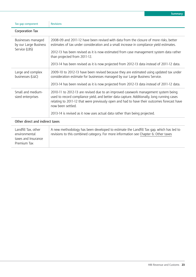| Tax gap component                                                          | <b>Revisions</b>                                                                                                                                                                                                                                                                                    |
|----------------------------------------------------------------------------|-----------------------------------------------------------------------------------------------------------------------------------------------------------------------------------------------------------------------------------------------------------------------------------------------------|
| Corporation Tax                                                            |                                                                                                                                                                                                                                                                                                     |
| Businesses managed<br>by our Large Business                                | 2008-09 and 2011-12 have been revised with data from the closure of more risks, better<br>estimates of tax under consideration and a small increase in compliance yield estimates.                                                                                                                  |
| Service (LBS)                                                              | 2012-13 has been revised as it is now estimated from case management system data rather<br>than projected from 2011-12.                                                                                                                                                                             |
|                                                                            | 2013-14 has been revised as it is now projected from 2012-13 data instead of 2011-12 data.                                                                                                                                                                                                          |
| Large and complex<br>businesses (L&C)                                      | 2009-10 to 2012-13 have been revised because they are estimated using updated tax under<br>consideration estimate for businesses managed by our Large Business Service.                                                                                                                             |
|                                                                            | 2013-14 has been revised as it is now projected from 2012-13 data instead of 2011-12 data.                                                                                                                                                                                                          |
| Small and medium-<br>sized enterprises                                     | 2010-11 to 2012-13 are revised due to an improved casework management system being<br>used to record compliance yield, and better data capture. Additionally, long running cases<br>relating to 2011-12 that were previously open and had to have their outcomes forecast have<br>now been settled. |
|                                                                            | 2013-14 is revised as it now uses actual data rather than being projected.                                                                                                                                                                                                                          |
| Other direct and indirect taxes                                            |                                                                                                                                                                                                                                                                                                     |
| Landfill Tax, other<br>environmental<br>taxes and Insurance<br>Premium Tax | A new methodology has been developed to estimate the Landfill Tax gap, which has led to<br>revisions to this combined category. For more information see Chapter 6: Other taxes                                                                                                                     |

**Summary**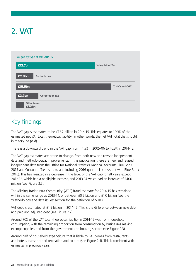# <span id="page-23-0"></span>**2. VAT**



# Key findings

The VAT gap is estimated to be £12.7 billion in 2014-15. This equates to 10.3% of the estimated net VAT total theoretical liability (in other words, the net VAT total that should, in theory, be paid).

There is a downward trend in the VAT gap, from 14.5% in 2005-06 to 10.3% in 2014-15.

The VAT gap estimates are prone to change, from both new and revised independent data and methodological improvements. In this publication, there are new and revised independent data from the Office for National Statistics National Accounts Blue Book 2015 and Consumer Trends up to and including 2016 quarter 1 (consistent with Blue Book 2016). This has resulted in a decrease in the level of the VAT gap for all years except 2012-13, which had a negligible increase, and 2013-14 which had an increase of £400 million (see Figure 2.5).

The Missing Trader Intra-Community (MTIC) fraud estimate for 2014-15 has remained within the same range as 2013-14, of between  $E0.5$  billion and  $E1.0$  billion (see the 'Methodology and data issues' section for the definition of MTIC).

VAT debt is estimated at £1.5 billion in 2014-15. This is the difference between new debt and paid and adjusted debt (see Figure 2.2).

Around 70% of the VAT total theoretical liability in 2014-15 was from household consumption, with the remaining proportion from consumption by businesses making exempt supplies, and from the government and housing sectors (see Figure 2.3).

Around half of household expenditure that is liable to VAT comes from restaurants and hotels, transport and recreation and culture (see Figure 2.4). This is consistent with estimates in previous years.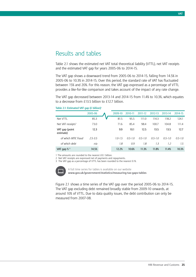### Results and tables

Table 2.1 shows the estimated net VAT total theoretical liability (VTTL), net VAT receipts and the estimated VAT gap for years 2005-06 to 2014-15.

The VAT gap shows a downward trend from 2005-06 to 2014-15, falling from 14.5% in 2005-06 to 10.3% in 2014-15. Over this period, the standard rate of VAT has fluctuated between 15% and 20%. For this reason, the VAT gap expressed as a percentage of VTTL provides a like-for-like comparison and takes account of the impact of any rate change.

The VAT gap decreased between 2013-14 and 2014-15 from 11.4% to 10.3%, which equates to a decrease from £13.5 billion to £12.7 billion.

| $\frac{1}{2}$ sounded , qup $\frac{1}{2}$ shown, |             |             |             |             |             |             |             |
|--------------------------------------------------|-------------|-------------|-------------|-------------|-------------|-------------|-------------|
|                                                  | 2005-06     | 2009-10     | 2010-11     | 2011-12     | 2012-13     | 2013-14     | 2014-15     |
| Net VTTL                                         | 85.3        | 81.5        | 95.5        | 111.0       | 114.3       | 118.2       | 124.1       |
| Net VAT receipts <sup>2</sup>                    | 73.0        | 71.6        | 85.4        | 98.4        | 100.7       | 104.8       | 111.4       |
| VAT gap (point<br>estimate)                      | 12.3        | 9.9         | 10.1        | 12.5        | 13.5        | 13.5        | 12.7        |
| of which MTIC fraud                              | $2.5 - 3.5$ | $1.0 - 1.5$ | $0.5 - 1.0$ | $0.5 - 1.0$ | $0.5 - 1.0$ | $0.5 - 1.0$ | $0.5 - 1.0$ |
| of which debt                                    | n/a         | 1.8         | 0.9         | 1.8         | 1.3         | 1.2         | 1.5         |
| VAT gap $\frac{8}{3}$                            | 14.5%       | 12.2%       | 10.6%       | 11.3%       | 11.8%       | 11.4%       | 10.3%       |
|                                                  |             |             |             |             |             |             |             |

#### **Table 2.1: Estimated VAT gap (£ billion)1**

1 The amounts are rounded to the nearest £0.1 billion.

2 Net VAT receipts are expressed net of payments and repayments.

3 The VAT gap as a percentage of VTTL has been rounded to the nearest 0.1%.



A full time series for tables is available on our website **www.gov.uk/government/statistics/measuring-tax-gaps-tables**

Figure 2.1 shows a time series of the VAT gap over the period 2005-06 to 2014-15. The VAT gap excluding debt remained broadly stable from 2009-10 onwards, at around 10% of VTTL. Due to data quality issues, the debt contribution can only be measured from 2007-08.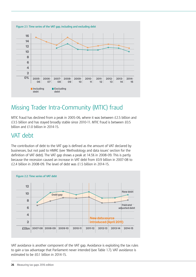

# Missing Trader Intra-Community (MTIC) fraud

MTIC fraud has declined from a peak in 2005-06, where it was between £2.5 billion and £3.5 billion and has stayed broadly stable since 2010-11. MTIC fraud is between £0.5 billion and £1.0 billion in 2014-15.

## VAT debt

The contribution of debt to the VAT gap is defined as the amount of VAT declared by businesses, but not paid to HMRC (see 'Methodology and data issues' section for the definition of VAT debt). The VAT gap shows a peak at 14.5% in 2008-09. This is partly because the recession caused an increase in VAT debt from £0.9 billion in 2007-08 to £2.4 billion in 2008-09. The level of debt was £1.5 billion in 2014-15.



VAT avoidance is another component of the VAT gap. Avoidance is exploiting the tax rules to gain a tax advantage that Parliament never intended (see Table 1.7). VAT avoidance is estimated to be £0.1 billion in 2014-15.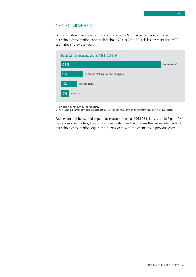### Sector analysis

Figure 2.3 shows each sector's contribution to the VTTL in percentage terms, with household consumption contributing about 70% in 2014-15. This is consistent with VTTL estimates in previous years.

| 68% |                                        | Households <sup>2</sup> |
|-----|----------------------------------------|-------------------------|
| 16% | <b>Business making exempt supplies</b> |                         |
| 11% | Government                             |                         |

1 Numbers may not sum due to rounding.

2 The household component also includes estimates of expenditure by non-profit institutions serving households.

Each estimated household expenditure component for 2014-15 is illustrated in Figure 2.4. Restaurants and hotels, transport and recreation and culture are the largest elements of household consumption. Again, this is consistent with the estimates in previous years.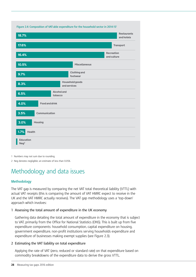

1 Numbers may not sum due to rounding.

2 Neg denotes negligible; an estimate of less than 0.05%.

# Methodology and data issues

#### **Methodology**

The VAT gap is measured by comparing the net VAT total theoretical liability (VTTL) with actual VAT receipts (this is comparing the amount of VAT HMRC expect to receive in the UK and the VAT HMRC actually receives). The VAT gap methodology uses a 'top-down' approach which involves:

#### 1 Assessing the total amount of expenditure in the UK economy

Gathering data detailing the total amount of expenditure in the economy that is subject to VAT, primarily from the Office for National Statistics (ONS). This is built up from five expenditure components: household consumption, capital expenditure on housing, government expenditure, non-profit institutions serving households expenditure and expenditure of businesses making exempt supplies (see Figure 2.3).

#### 2 Estimating the VAT liability on total expenditure

Applying the rate of VAT (zero, reduced or standard rate) on that expenditure based on commodity breakdowns of the expenditure data to derive the gross VTTL.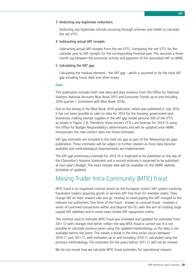#### 3 Deducting any legitimate reductions

Deducting any legitimate refunds occurring through schemes and reliefs to calculate the net VTTL.

#### 4 Subtracting actual VAT receipts

Subtracting actual VAT receipts from the net VTTL. Comparing the net VTTL for the calendar year to VAT receipts for the corresponding financial year. This assumes a threemonth lag between the economic activity and payment of the associated VAT to HMRC.

#### 5 Calculating the VAT gap

Calculating the residual element – the VAT gap – which is assumed to be the total VAT gap including fraud, debt and other losses.

#### **Data**

This publication includes both new data and data revisions from the Office for National Statistics National Accounts Blue Book 2015 and Consumer Trends up to and including 2016 quarter 1 (consistent with Blue Book 2016).

Due to the timing of the Blue Book 2016 publication, which was published in July 2016, it has not been possible to take on data for 2014 for the housing, government and businesses making exempt supplies in the VAT gap model (around 30% of the VTTL as shown in Figure 2.3). Therefore, these sectors VTTLs are forecast for 2014-15 using the Office for Budget Responsibility's determinants and will be updated once HMRC incorporates the new outturn data into these estimates.

VAT gap estimates are included in the total tax gap as part of the 'Measuring tax gaps' publication. These estimates will be subject to further revision as more data become available and methodological improvements are implemented.

The VAT gap preliminary estimate for 2015-16 is expected to be published on the day of the Chancellor's Autumn Statement and a second estimate is expected to be published at next year's Budget. The exact release date will be available on the HMRC website (schedule of updates).

### Missing Trader Intra-Community (MTIC) fraud

MTIC fraud is an organised criminal attack on the European Union's VAT system involving fraudulent traders acquiring goods or services VAT free from EU member states. They charge VAT on their onward sale and go 'missing' to avoid paying the VAT charged to the relevant tax authorities. One form of the fraud – known as carousel fraud – involves a series of contrived transactions within and beyond the EU, with the aim of creating large unpaid VAT liabilities and in some cases invalid VAT repayment claims.

The method used to estimate MTIC fraud was reviewed and updated for estimates from 2011-12 with changes that better reflect the way MTIC fraud is carried out. It is not possible to calculate previous years using this updated methodology, as the data is not available before this point. This means a break in the time series occurs between 2010-11 and 2011-12, with estimates up to and including 2010-11 calculated using the previous methodology. The estimates for the years before 2011-12 will not be revised.

We do not reveal how we calculate MTIC fraud estimates, for operational reasons.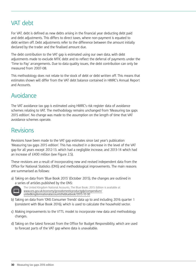# VAT debt

For VAT, debt is defined as new debts arising in the financial year deducting debt paid and debt adjustments. This differs to direct taxes, where non-payment is equated to debt written off. Debt adjustments refer to the difference between the amount initially declared by the trader and the finalised amount due.

The debt contribution to the VAT gap is estimated using our own data, with debt adjustments made to exclude MTIC debt and to reflect the deferral of payments under the 'Time to Pay' arrangements. Due to data quality issues, the debt contribution can only be measured from 2007-08.

This methodology does not relate to the stock of debt or debt written off. This means that estimates shown will differ from the VAT debt balance contained in HMRC's Annual Report and Accounts.

# Avoidance

The VAT avoidance tax gap is estimated using HMRC's risk register data of avoidance schemes relating to VAT. The methodology remains unchanged from 'Measuring tax gaps 2015 edition'. No change was made to the assumption on the length of time that VAT avoidance schemes operate.

### Revisions

Revisions have been made to the VAT gap estimates since last year's publication 'Measuring tax gaps 2015 edition'. This has resulted in a decrease in the level of the VAT gap for all years except 2012-13, which had a negligible increase, and 2013-14 which had an increase of £400 million (see Figure 2.5).

These revisions are a result of incorporating new and revised independent data from the Office for National Statistics (ONS) and methodological improvements. The main reasons are summarised as follows:

a) Taking on data from 'Blue Book 2015' (October 2015), the changes are outlined in a series of articles published by the ONS:



The United Kingdom National Accounts, The Blue Book: 2015 Edition is available at [www.ons.gov.uk/economy/grossdomesticproductgdp/compendium/](http://www.ons.gov.uk/economy/grossdomesticproductgdp/compendium/unitedkingdomnationalaccountsthebluebook/2015-10-30) [unitedkingdomnationalaccountsthebluebook/2015-10-30](http://www.ons.gov.uk/economy/grossdomesticproductgdp/compendium/unitedkingdomnationalaccountsthebluebook/2015-10-30)

- b) Taking on data from 'ONS Consumer Trends' data up to and including 2016 quarter 1 (consistent with Blue Book 2016), which is used to calculate the household sector.
- c) Making improvements to the VTTL model to incorporate new data and methodology changes.
- d) Taking on the latest forecast from the Office for Budget Responsibility, which are used to forecast parts of the VAT gap where data is unavailable.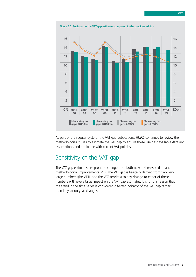

As part of the regular cycle of the VAT gap publications, HMRC continues to review the methodologies it uses to estimate the VAT gap to ensure these use best available data and assumptions, and are in line with current VAT policies.

# Sensitivity of the VAT gap

The VAT gap estimates are prone to change from both new and revised data and methodological improvements. Plus, the VAT gap is basically derived from two very large numbers (the VTTL and the VAT receipts) so any change to either of these numbers will have a large impact on the VAT gap estimates. It is for this reason that the trend in the time series is considered a better indicator of the VAT gap rather than its year-on-year changes.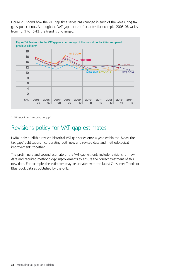Figure 2.6 shows how the VAT gap time series has changed in each of the 'Measuring tax gaps' publications. Although the VAT gap per cent fluctuates for example, 2005-06 varies from 13.1% to 15.4%, the trend is unchanged.



1 MTG stands for 'Measuring tax gaps'

# Revisions policy for VAT gap estimates

HMRC only publish a revised historical VAT gap series once a year, within the 'Measuring tax gaps' publication, incorporating both new and revised data and methodological improvements together.

The preliminary and second estimate of the VAT gap will only include revisions for new data and required methodology improvements to ensure the correct treatment of this new data. For example, the estimates may be updated with the latest Consumer Trends or Blue Book data as published by the ONS.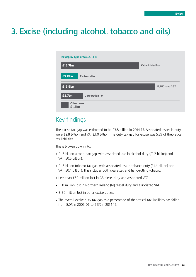# <span id="page-32-0"></span>**3. Excise (including alcohol, tobacco and oils)**



# Key findings

The excise tax gap was estimated to be £3.8 billion in 2014-15. Associated losses in duty were £2.8 billion and VAT £1.0 billion. The duty tax gap for excise was 5.3% of theoretical tax liabilities.

This is broken down into:

- £1.8 billion alcohol tax gap, with associated loss in alcohol duty (£1.2 billion) and VAT (£0.6 billion).
- £1.8 billion tobacco tax gap, with associated loss in tobacco duty (£1.4 billion) and VAT (£0.4 billion). This includes both cigarettes and hand-rolling tobacco.
- Less than £50 million lost in GB diesel duty and associated VAT.
- £50 million lost in Northern Ireland (NI) diesel duty and associated VAT.
- £130 million lost in other excise duties.
- The overall excise duty tax gap as a percentage of theoretical tax liabilities has fallen from 8.0% in 2005-06 to 5.3% in 2014-15.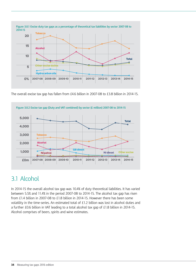<span id="page-33-0"></span>

The overall excise tax gap has fallen from £4.6 billion in 2007-08 to £3.8 billion in 2014-15.



# 3.1 Alcohol

In 2014-15 the overall alcohol tax gap was 10.4% of duty theoretical liabilities. It has varied between 5.5% and 11.4% in the period 2007-08 to 2014-15. The alcohol tax gap has risen from £1.4 billion in 2007-08 to £1.8 billion in 2014-15. However there has been some volatility in the time-series. An estimated total of £1.2 billion was lost in alcohol duties and a further £0.6 billion in VAT leading to a total alcohol tax gap of £1.8 billion in 2014-15. Alcohol comprises of beers, spirits and wine estimates.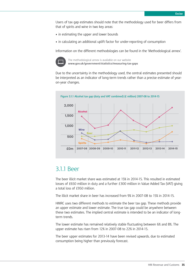Users of tax gap estimates should note that the methodology used for beer differs from that of spirits and wine in two key areas:

- in estimating the upper and lower bounds
- in calculating an additional uplift factor for under-reporting of consumption

Information on the different methodologies can be found in the 'Methodological annex'.



The methodological annex is available on our website **www.gov.uk/government/statistics/measuring-tax-gaps**

Due to the uncertainty in the methodology used, the central estimates presented should be interpreted as an indicator of long-term trends rather than a precise estimate of yearon-year changes.



### 3.1.1 Beer

The beer illicit market share was estimated at 15% in 2014-15. This resulted in estimated losses of £650 million in duty and a further £300 million in Value Added Tax (VAT) giving a total loss of £950 million.

The illicit market share in beer has increased from 9% in 2007-08 to 15% in 2014-15.

HMRC uses two different methods to estimate the beer tax gap. These methods provide an upper estimate and lower estimate. The true tax gap could be anywhere between these two estimates. The implied central estimate is intended to be an indicator of longterm trends.

The lower estimate has remained relatively stable fluctuating between 6% and 8%. The upper estimate has risen from 12% in 2007-08 to 22% in 2014-15.

The beer upper estimates for 2013-14 have been revised upwards, due to estimated consumption being higher than previously forecast.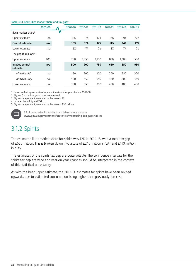#### Table 3.1.1 Beer: Illicit market share and tax gap<sup>1,2</sup>

|                                   | 2005-06 | 2009-10 | 2010-11 | 2011-12 | 2012-13 | 2013-14 | 2014-15 |
|-----------------------------------|---------|---------|---------|---------|---------|---------|---------|
| Illicit market share <sup>3</sup> |         |         |         |         |         |         |         |
| Upper estimate                    | 8%      | 13%     | 17%     | 17%     | 14%     | 20%     | 22%     |
| Central estimate                  | n/a     | 10%     | 12%     | 12%     | 11%     | 14%     | 15%     |
| Lower estimate                    | n/a     | 6%      | 7%      | 7%      | 8%      | 7%      | 7%      |
| Tax gap (£ million) $4,5$         |         |         |         |         |         |         |         |
| Upper estimate                    | 400     | 700     | 1.050   | 1.100   | 850     | 1.300   | 1,500   |
| Implied central<br>estimate       | n/a     | 500     | 700     | 750     | 650     | 850     | 950     |
| of which VAT                      | n/a     | 150     | 200     | 200     | 200     | 250     | 300     |
| of which Duty                     | n/a     | 400     | 550     | 550     | 450     | 600     | 650     |
| Lower estimate                    | n/a     | 300     | 350     | 350     | 400     | 400     | 400     |
|                                   |         |         |         |         |         |         |         |

1 Lower and mid-point estimates are not available for years before 2007-08.

2 Figures for previous years have been revised.

3 Figures independently rounded to the nearest 1%.

4 Includes both duty and VAT.

5 Figures independently rounded to the nearest £50 million.



A full time series for tables is available on our website **www.gov.uk/government/statistics/measuring-tax-gaps-tables**

# 3.1.2 Spirits

The estimated illicit market share for spirits was 12% in 2014-15, with a total tax gap of £650 million. This is broken down into a loss of £240 million in VAT and £410 million in duty.

The estimates of the spirits tax gap are quite volatile. The confidence intervals for the spirits tax gap are wide and year-on-year changes should be interpreted in the context of this statistical uncertainty.

As with the beer upper estimate, the 2013-14 estimates for spirits have been revised upwards, due to estimated consumption being higher than previously forecast.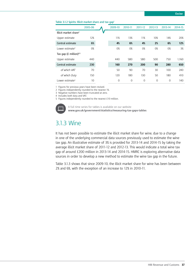#### Table 3.1.2 Spirits: Illicit market share and tax gap<sup>1</sup>

|                                     | 2005-06 | 2009-10        | 2010-11        | 2011-12        | 2012-13        | 2013-14        | 2014-15 |
|-------------------------------------|---------|----------------|----------------|----------------|----------------|----------------|---------|
| Illicit market share <sup>2</sup>   |         |                |                |                |                |                |         |
| Upper estimate                      | 12%     | 11%            | 13%            | 11%            | 10%            | 14%            | 20%     |
| Central estimate                    | 6%      | 4%             | 6%             | 4%             | 2%             | 6%             | 12%     |
| Lower estimate <sup>3</sup>         | 0%      | 0%             | 0%             | 0%             | 0%             | 0%             | 3%      |
| Tax gap $(E \text{ million})^{4,5}$ |         |                |                |                |                |                |         |
| Upper estimate                      | 440     | 440            | 580            | 580            | 500            | 750            | 1.160   |
| Central estimate                    | 230     | 160            | 270            | 200            | 90             | 280            | 650     |
| of which VAT                        | 70      | 50             | 90             | 70             | 30             | 100            | 240     |
| of which Duty                       | 150     | 120            | 180            | 130            | 50             | 180            | 410     |
| Lower estimate <sup>3</sup>         | 10      | $\overline{0}$ | $\overline{0}$ | $\overline{0}$ | $\overline{0}$ | $\overline{0}$ | 140     |

1 Figures for previous years have been revised.

2 Figures independently rounded to the nearest 1%.

3 Negative numbers have been truncated at zero.

4 Includes both duty and VAT.

5 Figures independently rounded to the nearest £10 million.



A full time series for tables is available on our website **www.gov.uk/government/statistics/measuring-tax-gaps-tables**

### 3.1.3 Wine

It has not been possible to estimate the illicit market share for wine, due to a change in one of the underlying commercial data sources previously used to estimate the wine tax gap. An illustrative estimate of 3% is provided for 2013-14 and 2014-15 by taking the average illicit market share of 2011-12 and 2012-13. This would indicate a total wine tax gap of around £200 million in 2013-14 and 2014-15. HMRC is exploring alternative data sources in order to develop a new method to estimate the wine tax gap in the future.

Table 3.1.3 shows that since 2009-10, the illicit market share for wine has been between 2% and 6%, with the exception of an increase to 12% in 2010-11.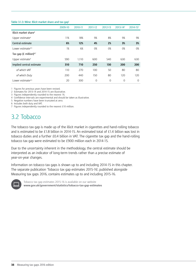#### Table 3.1.3: Wine: Illicit market share and tax qap<sup>1</sup>

|                                   | 2009-10 | 2010-11 | 2011-12  | 2012-13  | 2013-14 <sup>2</sup> | 2014-15 <sup>2</sup> |
|-----------------------------------|---------|---------|----------|----------|----------------------|----------------------|
| Illicit market share <sup>3</sup> |         |         |          |          |                      |                      |
| Upper estimate <sup>4</sup>       | 11%     | 18%     | 9%       | 8%       | 9%                   | 9%                   |
| Central estimate                  | 6%      | 12%     | 4%       | 2%       | 3%                   | 3%                   |
| Lower estimate $4.5$              | 1%      | 6%      | 0%       | 0%       | 0%                   | 0%                   |
| Tax gap (£ million) $67$          |         |         |          |          |                      |                      |
| Upper estimate <sup>4</sup>       | 590     | 1.110   | 600      | 540      | 630                  | 630                  |
| Implied central estimate          | 310     | 710     | 250      | 130      | 200                  | 200                  |
| of which VAT                      | 110     | 270     | 100      | 50       | 80                   | 80                   |
| of which Duty                     | 200     | 440     | 150      | 80       | 120                  | 120                  |
| Lower estimate <sup>4,5</sup>     | 20      | 300     | $\Omega$ | $\Omega$ | $\Omega$             | $\Omega$             |

1 Figures for previous years have been revised.

2 Estimates for 2013-14 and 2014-15 are illustrative.

3 Figures independently rounded to the nearest 1%.

4 Confidence intervals are experimental and should be taken as illustrative.

5 Negative numbers have been truncated at zero. 6 Includes both duty and VAT.

7 Figures independently rounded to the nearest £10 million.

## 3.2 Tobacco

The tobacco tax gap is made up of the illicit market in cigarettes and hand-rolling tobacco and is estimated to be £1.8 billion in 2014-15. An estimated total of £1.4 billion was lost in tobacco duties and a further £0.4 billion in VAT. The cigarette tax gap and the hand-rolling tobacco tax gap were estimated to be £900 million each in 2014-15.

Due to the uncertainty inherent in the methodology, the central estimate should be interpreted as an indicator of long-term trends rather than a precise estimate of year-on-year changes.

Information on tobacco tax gaps is shown up to and including 2014-15 in this chapter. The separate publication 'Tobacco tax gap estimates 2015-16', published alongside Measuring tax gaps 2016, contains estimates up to and including 2015-16.



Tobacco tax gap estimates 2015-16 is available on our website **www.gov.uk/government/statistics/tobacco-tax-gap-estimates**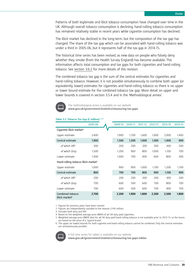Patterns of both legitimate and illicit tobacco consumption have changed over time in the UK. Although overall tobacco consumption is declining, hand-rolling tobacco consumption has remained relatively stable in recent years while cigarette consumption has declined.

The illicit market has declined in the long-term, but the composition of the tax gap has changed. The share of the tax gap which can be associated with hand-rolling tobacco was under a third in 2005-06, but it represents half of the tax gap in 2014-15.

The historical time series has been revised, as new data on people who falsely deny whether they smoke (from the Health Survey England) has become available. This information affects total consumption and tax gaps for both cigarettes and hand-rolling tobacco. See [section 3.6.2](#page-48-0) for more details of this revision.

The combined tobacco tax gap is the sum of the central estimates for cigarettes and hand-rolling tobacco. However, it is not possible simultaneously to combine both upper (or equivalently, lower) estimates for cigarettes and hand-rolling tobacco so there is no upper or lower bound estimate for the combined tobacco tax gap. More detail on upper and lower bounds is covered in section 3.5.4 and in the 'Methodological annex'.



The methodological annex is available on our website **www.gov.uk/government/statistics/measuring-tax-gaps**

| Table 3.2: Tobacco Tax Gap (£ million) 1,2,3 |  |  |  |
|----------------------------------------------|--|--|--|
|----------------------------------------------|--|--|--|

|                                                  | 2005-06 | 2009-10 | 2010-11 | 2011-12 | 2012-13 | 2013-14 | 2014-15 |
|--------------------------------------------------|---------|---------|---------|---------|---------|---------|---------|
| Cigarette illicit market <sup>4</sup>            |         |         |         |         |         |         |         |
| Upper estimate                                   | 2,400   | 1,900   | 1.700   | 1,600   | 1,900   | 2,000   | 1,400   |
| Central estimate                                 | 1,900   | 1,500   | 1,200   | 1,000   | 1,300   | 1,400   | 900     |
| of which VAT                                     | 300     | 200     | 200     | 200     | 300     | 300     | 200     |
| of which Duty                                    | 1,500   | 1,200   | 900     | 800     | 1,000   | 1,100   | 700     |
| Lower estimate                                   | 1,400   | 1,000   | 700     | 400     | 600     | 800     | 300     |
| Hand-rolling tobacco illicit market <sup>5</sup> |         |         |         |         |         |         |         |
| Upper estimate                                   | 1.000   | 900     | 900     | 1.000   | 1.100   | 1.200   | 1.100   |
| Central estimate                                 | 800     | 700     | 700     | 800     | 900     | 1,100   | 900     |
| of which VAT                                     | 200     | 200     | 200     | 200     | 200     | 300     | 200     |
| of which Duty                                    | 700     | 600     | 500     | 600     | 700     | 800     | 700     |
| Lower estimate                                   | 700     | 600     | 500     | 600     | 700     | 900     | 700     |
| Combined tobacco<br>illicit market <sup>6</sup>  | 2,700   | 2,200   | 1,900   | 1,800   | 2,200   | 2,500   | 1,800   |

1 Figures for previous years have been revised.

2 Figures are independently rounded to the nearest £100 million.

3 Includes both duty and VAT.

4 Based on the weighted average price (WAP) of all UK duty paid cigarettes.

5 Weighted average price (WAP) data for all UK duty paid hand-rolling tobacco is not available prior to 2012-13, so the losses are based on the price of a 'typical brand'.

6 The upper (or lower) bounds for both cigarette and hand-rolling tobacco cannot be combined. Only the central estimates are simultaneously possible.



A full time series for tables is available on our website

**www.gov.uk/government/statistics/measuring-tax-gaps-tables**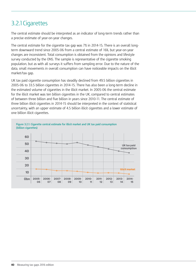## 3.2.1Cigarettes

The central estimate should be interpreted as an indicator of long-term trends rather than a precise estimate of year-on-year changes.

The central estimate for the cigarette tax gap was 7% in 2014-15. There is an overall longterm downward trend since 2005-06 from a central estimate of 16%, but year-on-year changes are inconsistent. Total consumption is obtained from the opinions and lifestyle survey conducted by the ONS. The sample is representative of the cigarette smoking population, but as with all surveys it suffers from sampling error. Due to the nature of the data, small movements in overall consumption can have noticeable impacts on the illicit market/tax gap.

UK tax paid cigarette consumption has steadily declined from 49.5 billion cigarettes in 2005-06 to 33.5 billion cigarettes in 2014-15. There has also been a long-term decline in the estimated volume of cigarettes in the illicit market. In 2005-06 the central estimate for the illicit market was ten billion cigarettes in the UK, compared to central estimates of between three billion and five billion in years since 2010-11. The central estimate of three billion illicit cigarettes in 2014-15 should be interpreted in the context of statistical uncertainty, with an upper estimate of 4.5 billion illicit cigarettes and a lower estimate of one billion illicit cigarettes.

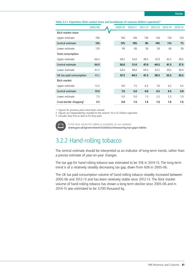| 2014-15 |
|---------|
|         |
| 12%     |
| 7%      |
| 3%      |
|         |
| 39.5    |
| 37.5    |
| 36.0    |
| 33.5    |
|         |
| 4.5     |
| 3.0     |
|         |

Lower estimate 7.5 5.0 3.0 1.5 2.5 2.5 1.0 Cross-border shopping3 4.0 **2.0 1.5 1.5 1.5 1.5 1.5**

1 Figures for previous years have been revised.

2 Figures are independently rounded to the nearest 1% or 0.5 billion cigarettes.

3 Includes duty free as well as EU duty paid.



A full time series for tables is available on our website **www.gov.uk/government/statistics/measuring-tax-gaps-tables**

### 3.2.2 Hand-rolling tobacco

The central estimate should be interpreted as an indicator of long-term trends, rather than a precise estimate of year-on-year changes.

The tax gap for hand-rolling tobacco was estimated to be 35% in 2014-15. The long-term trend is of a relatively steadily decreasing tax gap, down from 60% in 2005-06.

The UK tax paid consumption volume of hand-rolling tobacco steadily increased between 2005-06 and 2012-13 and has been relatively stable since 2012-13. The illicit market volume of hand-rolling tobacco has shown a long-term decline since 2005-06 and in 2014-15 was estimated to be 3,700 thousand kg.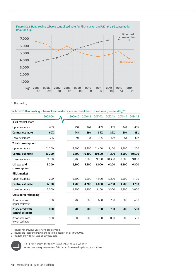

1 Thousand kg

#### **Table 3.2.2: Hand-rolling tobacco: Illicit market share and breakdown of volumes (thousand kg)1,2**

|                                            | 2005-06 | 2009-10 | 2010-11 | 2011-12 | 2012-13 | 2013-14 | 2014-15 |
|--------------------------------------------|---------|---------|---------|---------|---------|---------|---------|
| Illicit market share                       |         |         |         |         |         |         |         |
| Upper estimate                             | 65%     | 49%     | 46%     | 43%     | 43%     | 44%     | 40%     |
| <b>Central estimate</b>                    | 60%     | 44%     | 39%     | 37%     | 37%     | 40%     | 35%     |
| Lower estimate                             | 55%     | 39%     | 33%     | 31%     | 32%     | 36%     | 30%     |
| Total consumption <sup>3</sup>             |         |         |         |         |         |         |         |
| Upper estimate                             | 11,200  | 11,400  | 11,400  | 11,400  | 12,100  | 12,300  | 11,200  |
| <b>Central estimate</b>                    | 10,200  | 10,600  | 10,400  | 10,600  | 11,200  | 11,500  | 10,500  |
| Lower estimate                             | 9.100   | 9.700   | 9.500   | 9,700   | 10.300  | 10.800  | 9.800   |
| UK tax paid<br>consumption                 | 3,200   | 5,100   | 5.500   | 6,000   | 6,200   | 6,300   | 6,300   |
| <b>Illicit market</b>                      |         |         |         |         |         |         |         |
| Upper estimate                             | 7,200   | 5,600   | 5.200   | 4,900   | 5.200   | 5,500   | 4,400   |
| <b>Central estimate</b>                    | 6,100   | 4,700   | 4,200   | 4,000   | 4,200   | 4,700   | 3,700   |
| Lower estimate                             | 5.000   | 3.800   | 3.200   | 3,100   | 3.300   | 3,900   | 3.000   |
| Cross-border shopping <sup>3</sup>         |         |         |         |         |         |         |         |
| Associated with<br>upper estimate          | 700     | 700     | 600     | 600     | 700     | 500     | 400     |
| <b>Associated with</b><br>central estimate | 800     | 700     | 700     | 700     | 700     | 500     | 500     |
| Associated with<br>lower estimate          | 900     | 800     | 800     | 700     | 800     | 600     | 500     |

1 Figures for previous years have been revised.

2 Figures are independently rounded to the nearest 1% or 100,000kg.

3 Includes duty-free as well as EU duty paid.



A full time series for tables is available on our website

**www.gov.uk/government/statistics/measuring-tax-gaps-tables**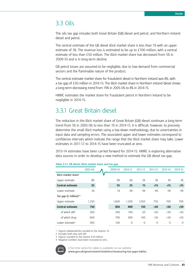### 3.3 Oils

The oils tax gap includes both Great Britain (GB) diesel and petrol; and Northern Ireland diesel and petrol.

The central estimate of the GB diesel illicit market share is less than 1% with an upper estimate of 3%. The revenue loss is estimated to be up to £700 million, with a central estimate of less than £50 million. The illicit market share has decreased from 5% in 2009-10 and is in long-term decline.

GB petrol losses are assumed to be negligible, due to low demand from commercial sectors and the flammable nature of the product.

The central estimate market share for fraudulent diesel in Northern Ireland was 8%, with a tax gap of £50 million in 2014-15. The illicit market share in Northern Ireland diesel shows a long-term decreasing trend from 19% in 2005-06 to 8% in 2014-15.

HMRC estimates the market share for fraudulent petrol in Northern Ireland to be negligible in 2014-15.

## 3.3.1 Great Britain diesel

The reduction in the illicit market share of Great Britain (GB) diesel continues a long-term trend from 5% in 2005-06 to less than 1% in 2014-15. It is difficult, however, to precisely determine the small illicit market using a top-down methodology, due to uncertainties in input data and sampling errors. The associated upper and lower estimates correspond to confidence intervals which indicate the range that the illicit market share may take. Lower estimates in 2011-12 to 2014-15 have been truncated at zero.

2013-14 estimates have been carried forward for 2014-15. HMRC is exploring alternative data sources in order to develop a new method to estimate the GB diesel tax gap.

|                                    | 2005-06 | 2009-10 | 2010-11        | 2011-12  | 2012-13         | 2013-14         | 2014-15         |
|------------------------------------|---------|---------|----------------|----------|-----------------|-----------------|-----------------|
| Illicit market share <sup>1</sup>  |         |         |                |          |                 |                 |                 |
| Upper estimate                     | 8%      | 9%      | 6%             | 5%       | 3%              | 3%              | 3%              |
| <b>Central estimate</b>            | 5%      | 5%      | 2%             | 1%       | $\langle$ 1%    | $\langle$ 1%    | $\langle$ 1%    |
| Lower estimate                     | 2%      | 1%      | 0%             | 0%       | 0%              | 0%              | 0%              |
| Tax gap (£ million) <sup>2,3</sup> |         |         |                |          |                 |                 |                 |
| Upper estimate                     | 1.250   | 1.600   | 1.200          | 1.050    | 750             | 700             | 700             |
| <b>Central estimate</b>            | 750     | 850     | 400            | 150      | 50 <sub>0</sub> | 50 <sub>0</sub> | 50 <sub>o</sub> |
| of which VAT                       | 200     | 200     | 100            | 50       | $\langle 50$    | 50 <sub>o</sub> | 50 <sub>o</sub> |
| of which Duty                      | 600     | 700     | 300            | 100      | $\langle 50$    | $\langle 50$    | $\langle 50$    |
| Lower estimate <sup>4</sup>        | 300     | 100     | $\overline{0}$ | $\Omega$ | $\overline{0}$  | $\overline{0}$  | $\Omega$        |

| Table 3.3.1: GB diesel: Illicit market share and tax gap |  |  |
|----------------------------------------------------------|--|--|
|                                                          |  |  |

1 Figures independently rounded to the nearest 1%.

2 Includes both duty and VAT.

3 Figures rounded to the nearest £50 million.

4 Negative numbers have been truncated at zero.



A full time series for tables is available on our website

**www.gov.uk/government/statistics/measuring-tax-gaps-tables**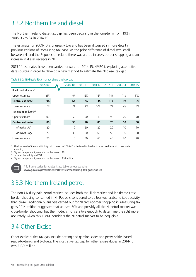## 3.3.2 Northern Ireland diesel

The Northern Ireland diesel tax gap has been declining in the long-term from 19% in 2005-06 to 8% in 2014-15.

The estimate for 2009-10 is unusually low and has been discussed in more detail in previous editions of 'Measuring tax gaps'. As the price difference of diesel was small between NI and the Republic of Ireland there was a drop in cross-border shopping and an increase in diesel receipts in NI.

2013-14 estimates have been carried forward for 2014-15. HMRC is exploring alternative data sources in order to develop a new method to estimate the NI diesel tax gap.

| Table J.J.Z. I'll diesel. Ruck market share and tax gap |         |         |         |         |         |         |                 |
|---------------------------------------------------------|---------|---------|---------|---------|---------|---------|-----------------|
|                                                         | 2005-06 | 2009-10 | 2010-11 | 2011-12 | 2012-13 | 2013-14 | 2014-15         |
| Illicit market share <sup>2</sup>                       |         |         |         |         |         |         |                 |
| Upper estimate                                          | 21%     | 9%      | 15%     | 16%     | 14%     | 11%     | 11%             |
| <b>Central estimate</b>                                 | 19%     | 6%      | 12%     | 13%     | 11%     | 8%      | 8%              |
| Lower estimate                                          | 16%     | 2%      | 9%      | 10%     | 7%      | 4%      | 4%              |
| Tax gap $(E \text{ million})^{3,4}$                     |         |         |         |         |         |         |                 |
| Upper estimate                                          | 100     | 50      | 100     | 110     | 90      | 70      | 70              |
| Central estimate                                        | 80      | 30      | 70      | 80      | 70      | 50      | 50              |
| of which VAT                                            | 20      | 10      | 20      | 20      | 20      | 10      | 10 <sup>2</sup> |
| of which Duty                                           | 70      | 30      | 60      | 60      | 50      | 30      | 30              |
| Lower estimate                                          | 70      | 10      | 50      | 60      | 40      | 20      | 20              |

#### **Table 3.3.2: NI diesel: Illicit market share and tax gap**

1 The low level of the non-UK duty paid market in 2009-10 is believed to be due to a reduced level of cross-border shopping.

2 Figures independently rounded to the nearest 1%.

3 Includes both duty and VAT.

4 Figures independently rounded to the nearest £10 million.



A full time series for tables is available on our website **www.gov.uk/government/statistics/measuring-tax-gaps-tables**

## 3.3.3 Northern Ireland petrol

The non-UK duty paid petrol market includes both the illicit market and legitimate crossborder shopping consumed in NI. Petrol is considered to be less vulnerable to illicit activity than diesel. Additionally, analysis carried out for NI cross-border shopping in 'Measuring tax gaps 2014 edition' suggested that at least 50% and possibly all the NI petrol market was cross-border shopping, but the model is not sensitive enough to determine the split more accurately. Given this, HMRC considers the NI petrol market to be negligible.

## 3.4 Other Excise

Other excise duties tax gap include betting and gaming, cider and perry, spirits based ready-to-drinks and biofuels. The illustrative tax gap for other excise duties in 2014-15 was £130 million.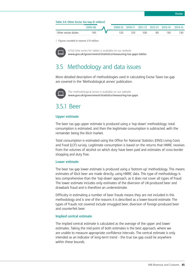#### **Table 3.4: Other Excise Tax Gap (£ million)1**

|                     | 2005-06 | 2009-10 | 2010-11 | 2011-12 | 2012-13 | 2013-14 | <b>2014-15</b> |
|---------------------|---------|---------|---------|---------|---------|---------|----------------|
| Other excise duties | 40      | 20      | 20      | 00      | 90      | зс      | 30             |

1 Figures rounded to nearest £10 million.



A full time series for tables is available on our website **www.gov.uk/government/statistics/measuring-tax-gaps-tables**

### 3.5 Methodology and data issues

More detailed description of methodologies used in calculating Excise Taxes tax gap are covered in the 'Methodological annex' publication.



The methodological annex is available on our website **www.gov.uk/government/statistics/measuring-tax-gaps**

### 3.5.1 Beer

#### **Upper estimate**

The beer tax gap upper estimate is produced using a 'top-down' methodology: total consumption is estimated, and then the legitimate consumption is subtracted, with the remainder being the illicit market.

Total consumption is estimated using the Office for National Statistics (ONS) Living Costs and Food (LCF) survey. Legitimate consumption is based on the returns that HMRC receives from the volumes of alcohol on which duty have been paid and estimates of cross-border shopping and duty free.

#### **Lower estimate**

The beer tax gap lower estimate is produced using a 'bottom-up' methodology. This means estimates of illicit beer are made directly, using HMRC data. This type of methodology is less comprehensive than the 'top-down' approach, as it does not cover all types of fraud. The lower estimate includes only estimates of the diversion of UK-produced beer and drawback fraud and is therefore an underestimate.

Difficulty in estimating a number of beer frauds means they are not included in this methodology and is one of the reasons it is described as a lower-bound estimate. The types of frauds not covered include smuggled beer, diversion of foreign-produced beer and counterfeit beer.

#### **Implied central estimate**

The implied central estimate is calculated as the average of the upper and lower estimates. Taking the mid-point of both estimates is the best approach, where we are unable to measure appropriate confidence intervals. The central estimate is only intended as an indicator of long-term trend – the true tax gap could lie anywhere within these bounds.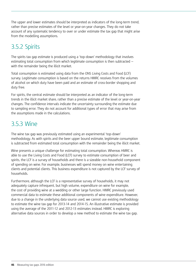The upper and lower estimates should be interpreted as indicators of the long-term trend, rather than precise estimates of the level or year-on-year changes. They do not take account of any systematic tendency to over or under estimate the tax gap that might arise from the modelling assumptions.

## 3.5.2 Spirits

The spirits tax gap estimate is produced using a 'top-down' methodology that involves estimating total consumption from which legitimate consumption is then subtracted with the remainder being the illicit market.

Total consumption is estimated using data from the ONS Living Costs and Food (LCF) survey. Legitimate consumption is based on the returns HMRC receives from the volumes of alcohol on which duty have been paid and an estimate of cross-border shopping and duty free.

For spirits, the central estimate should be interpreted as an indicator of the long-term trends in the illicit market share, rather than a precise estimate of the level or year-on-year changes. The confidence intervals indicate the uncertainty surrounding the estimate due to sampling error. They do not account for additional types of error that may arise from the assumptions made in the calculations.

## 3.5.3 Wine

The wine tax gap was previously estimated using an experimental 'top-down' methodology. As with spirits and the beer upper bound estimate, legitimate consumption is subtracted from estimated total consumption with the remainder being the illicit market.

Wine presents a unique challenge for estimating total consumption. Whereas HMRC is able to use the Living Costs and Food (LCF) survey to estimate consumption of beer and spirits, the LCF is a survey of households and there is a sizeable non-household component of spending on wine. For example, businesses will spend money on wine entertaining clients and potential clients. This business expenditure is not captured by the LCF survey of households.

Furthermore, although the LCF is a representative survey of households, it may not adequately capture infrequent, but high volume, expenditure on wine for example, the cost of providing wine at a wedding or other large function. HMRC previously used commercial data to estimate these additional components of wine expenditure. However, due to a change in the underlying data source used, we cannot use existing methodology to estimate the wine tax gap for 2013-14 and 2014-15. An illustrative estimate is provided using the average of the 2011-12 and 2012-13 estimates instead. HMRC is exploring alternative data sources in order to develop a new method to estimate the wine tax gap.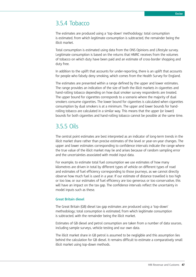### 3.5.4 Tobacco

The estimates are produced using a 'top-down' methodology: total consumption is estimated, from which legitimate consumption is subtracted, the remainder being the illicit market.

Total consumption is estimated using data from the ONS Opinions and Lifestyle survey. Legitimate consumption is based on the returns that HMRC receives from the volumes of tobacco on which duty have been paid and an estimate of cross-border shopping and duty free.

In addition to the uplift that accounts for under-reporting, there is an uplift that accounts for people who falsely deny smoking, which comes from the Health Survey for England.

The estimates are presented within a range defined by the upper and lower estimates. The range provides an indication of the size of both the illicit markets in cigarettes and hand-rolling tobacco depending on how dual smoker survey respondents are treated. The upper bound for cigarettes corresponds to a scenario where the majority of dual smokers consume cigarettes. The lower bound for cigarettes is calculated when cigarettes consumption by dual smokers is at a minimum. The upper and lower bounds for handrolling tobacco are calculated in a similar way. This means that the upper (or lower) bounds for both cigarettes and hand-rolling tobacco cannot be possible at the same time.

### 3.5.5 Oils

The central point estimates are best interpreted as an indicator of long-term trends in the illicit market share rather than precise estimates of the level or year-on-year changes. The upper and lower estimates corresponding to confidence intervals indicate the range where the true value of the illicit market may lie and arises because of random sampling error and the uncertainties associated with model input data.

For example, to estimate total fuel consumption we use estimates of how many kilometres are driven in total by different types of vehicle on different types of road and estimates of fuel efficiency corresponding to those journeys, as we cannot directly observe how much fuel is used in a year. If our estimate of distance travelled is too high or too low, or our estimates of fuel efficiency are too generous or too conservative, this will have an impact on the tax gap. The confidence intervals reflect the uncertainty in model inputs such as these.

#### **Great Britain diesel**

The Great Britain (GB) diesel tax gap estimates are produced using a 'top-down' methodology; total consumption is estimated, from which legitimate consumption is subtracted, with the remainder being the illicit market.

Estimates of GB diesel and petrol consumption are taken from a number of data sources, including sample surveys, vehicle testing and our own data.

The illicit market share in GB petrol is assumed to be negligible and this assumption lies behind the calculation for GB diesel. It remains difficult to estimate a comparatively small illicit market using top-down methods.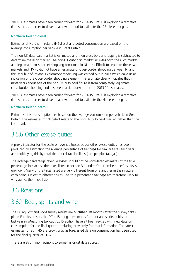2013-14 estimates have been carried forward for 2014-15. HMRC is exploring alternative data sources in order to develop a new method to estimate the GB diesel tax gap.

#### **Northern Ireland diesel**

Estimates of Northern Ireland (NI) diesel and petrol consumption are based on the average consumption per vehicle in Great Britain.

The non-UK duty paid market is estimated and then cross-border shopping is subtracted to determine the illicit market. The non-UK duty paid market includes both the illicit market and legitimate cross-border shopping consumed in NI. It is difficult to separate these two markets and HMRC did not have an estimate of cross-border shopping between NI and the Republic of Ireland. Exploratory modelling was carried out in 2013 which gave us an indication of the cross-border shopping element. This estimate clearly indicates that in most years about half of the non-UK duty paid figure is from completely legitimate cross-border shopping and has been carried forward for the 2013-14 estimates.

2013-14 estimates have been carried forward for 2014-15. HMRC is exploring alternative data sources in order to develop a new method to estimate the NI diesel tax gap.

#### **Northern Ireland petrol**

Estimates of NI consumption are based on the average consumption per vehicle in Great Britain. The estimates for NI petrol relate to the non-UK duty paid market, rather than the illicit market.

## 3.5.6 Other excise duties

A proxy indicator for the scale of revenue losses across other excise duties has been produced by estimating the average percentage of tax gaps for similar taxes each year and multiplying this by total theoretical tax liabilities (receipts plus tax gap).

The average percentage revenue losses should not be considered estimates of the true percentage loss across the taxes listed in section 3.4 under 'Other excise duties' as this is unknown. Many of the taxes listed are very different from one another in their nature, each being subject to different rules. The true percentage tax gaps are therefore likely to vary across the taxes listed.

## 3.6 Revisions

## 3.6.1 Beer, spirits and wine

The Living Cost and Food survey results are published 18 months after the survey takes place. For this reason, the 2014-15 tax gap estimates for beer and spirits published last year in 'Measuring tax gaps 2015 edition' have all been revised with new data on consumption for the final quarter replacing previously forecast information. The latest estimates for 2014-15 are provisional, as forecasted data on consumption has been used for the final quarter of 2014-15.

There are also minor revisions to some historical data sources.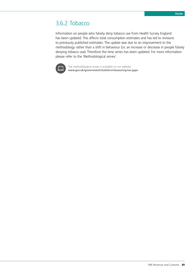### <span id="page-48-0"></span>3.6.2 Tobacco

Information on people who falsely deny tobacco use from Health Survey England has been updated. This affects total consumption estimates and has led to revisions to previously published estimates. The update was due to an improvement to the methodology rather than a shift in behaviour (i.e. an increase or decrease in people falsely denying tobacco use). Therefore the time series has been updated. For more information please refer to the 'Methodological annex'.



The methodological annex is available on our website **www.gov.uk/government/statistics/measuring-tax-gaps**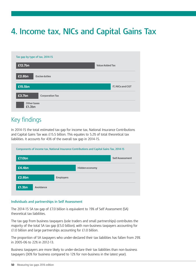# **4. Income tax, NICs and Capital Gains Tax**

| Tax gap by type of tax, 2014-15  |                        |
|----------------------------------|------------------------|
| £12.7bn                          | <b>Value Added Tax</b> |
| £2.8bn<br><b>Excise duties</b>   |                        |
| £15.5bn                          | IT, NICs and CGT       |
| £3.7bn<br><b>Corporation Tax</b> |                        |
| <b>Other taxes</b><br>£1.3bn     |                        |

## Key findings

In 2014-15 the total estimated tax gap for income tax, National Insurance Contributions and Capital Gains Tax was £15.5 billion. This equates to 5.2% of total theoretical tax liabilities. It accounts for 43% of the overall tax gap in 2014-15.

|        |           |                  | Components of income tax, National Insurance Contributions and Capital Gains Tax, 2014-15 |                        |
|--------|-----------|------------------|-------------------------------------------------------------------------------------------|------------------------|
| £7.0bn |           |                  |                                                                                           | <b>Self Assessment</b> |
| £4.4bn |           |                  | Hidden economy                                                                            |                        |
| £2.8bn |           | <b>Employers</b> |                                                                                           |                        |
| £1.3bn | Avoidance |                  |                                                                                           |                        |

#### **Individuals and partnerships in Self Assessment**

The 2014-15 SA tax gap of £7.0 billion is equivalent to 19% of Self Assessment (SA) theoretical tax liabilities.

The tax gap from business taxpayers (sole traders and small partnerships) contributes the majority of the total SA tax gap (£5.0 billion), with non-business taxpayers accounting for £1.0 billion and large partnerships accounting for £1.0 billion.

The proportion of SA taxpayers who under-declared their tax liabilities has fallen from 29% in 2005-06 to 22% in 2012-13.

Business taxpayers are more likely to under-declare their tax liabilities than non-business taxpayers (30% for business compared to 12% for non-business in the latest year).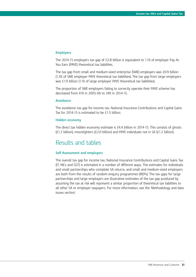#### **Employers**

The 2014-15 employers tax gap of £2.8 billion is equivalent to 1.1% of employer Pay As You Earn (PAYE) theoretical tax liabilities.

The tax gap from small and medium-sized enterprise (SME) employers was £0.9 billion (1.3% of SME employer PAYE theoretical tax liabilities). The tax gap from large employers was £1.9 billion (1.1% of large employer PAYE theoretical tax liabilities).

The proportion of SME employers failing to correctly operate their PAYE scheme has decreased from 41% in 2005-06 to 24% in 2014-15.

#### **Avoidance**

The avoidance tax gap for income tax, National Insurance Contributions and Capital Gains Tax for 2014-15 is estimated to be £1.3 billion.

#### **Hidden economy**

The direct tax hidden economy estimate is £4.4 billion in 2014-15. This consists of ghosts (£1.2 billion), moonlighters (£2.0 billion) and PAYE individuals not in SA (£1.2 billion).

### Results and tables

#### **Self Assessment and employers**

The overall tax gap for income tax, National Insurance Contributions and Capital Gains Tax (IT, NICs and CGT) is estimated in a number of different ways. The estimates for individuals and small partnerships who complete SA returns, and small and medium-sized employers are both from the results of random enquiry programmes (REPs). The tax gaps for large partnerships and large employers are illustrative estimates of the tax gap produced by assuming the tax at risk will represent a similar proportion of theoretical tax liabilities to all other SA or employer taxpayers. For more information, see the 'Methodology and data issues section'.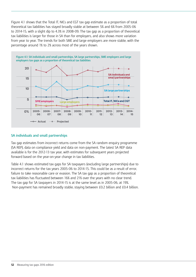Figure 4.1 shows that the Total IT, NICs and CGT tax gap estimate as a proportion of total theoretical tax liabilities has stayed broadly stable at between 5% and 6% from 2005-06 to 2014-15, with a slight dip to 4.3% in 2008-09. The tax gap as a proportion of theoretical tax liabilities is larger for those in SA than for employers, and also shows more variation from year to year. The trends for both SME and large employers are more stable, with the percentage around 1% to 2% across most of the years shown.



#### **SA individuals and small partnerships**

Tax gap estimates from incorrect returns come from the SA random enquiry programme (SA REP), data on compliance yield and data on non-payment. The latest SA REP data available is for the 2012-13 tax year, with estimates for subsequent years projected forward based on the year-on-year change in tax liabilities.

Table 4.1 shows estimated tax gaps for SA taxpayers (excluding large partnerships) due to incorrect returns for the tax years 2005-06 to 2014-15. This could be as a result of error, failure to take reasonable care or evasion. The SA tax gap as a proportion of theoretical tax liabilities has fluctuated between 16% and 21% over the years with no clear trend. The tax gap for SA taxpayers in 2014-15 is at the same level as in 2005-06, at 19%. Non-payment has remained broadly stable, staying between £0.2 billion and £0.4 billion.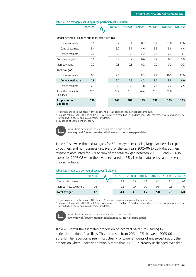|                                                     | 2005-06 | 2009-10 | 2010-11 | 2011-12 | 2012-13 | 2013-14 <sup>2</sup> | 2014-15 <sup>2</sup> |
|-----------------------------------------------------|---------|---------|---------|---------|---------|----------------------|----------------------|
|                                                     |         |         |         |         |         |                      |                      |
| Under-declared liabilities due to incorrect returns |         |         |         |         |         |                      |                      |
| Upper estimate                                      | 9.6     | 10.2    | 10.4    | 8.7     | 10.4    | 11.0                 | 12.6                 |
| Central estimate                                    | 5.4     | 5.0     | 5.1     | 4.6     | 5.5     | 5.8                  | 6.6                  |
| Lower estimate                                      | 2.6     | 2.6     | 2.0     | 2.2     | 2.5     | 2.7                  | 3.1                  |
| Compliance yield <sup>3</sup>                       | 0.6     | 0.9     | 0.7     | 0.6     | 0.7     | 0.7                  | 0.8                  |
| Non-payment                                         | 0.2     | 0.3     | 0.3     | 0.2     | 0.2     | 0.2                  | 0.2                  |
| Total tax gap                                       |         |         |         |         |         |                      |                      |
| Upper estimate                                      | 9.1     | 9.6     | 10.0    | 8.3     | 9.9     | 10.5                 | 12.0                 |
| <b>Central estimate</b>                             | 4.9     | 4.4     | 4.6     | 4.2     | 5.0     | 5.3                  | 6.0                  |
| Lower estimate                                      | 2.1     | 2.0     | 1.6     | 1.8     | 2.1     | 2.2                  | 2.5                  |
| Total theoretical tax<br>liabilities                | 26.5    | 27.2    | 25.3    | 24.4    | 26.0    | 28.0                 | 31.3                 |
| <b>Proportion of</b><br>liabilities                 | 19%     | 16%     | 18%     | 17%     | 19%     | 19%                  | 19%                  |

#### **Table 4.1: SA tax gap (excluding large partnerships) (£ billion)1**

1 Figures rounded to the nearest £0.1 billion. As a result components may not appear to sum.

2 Tax gap estimates for 2013-14 and 2014-15 are projected based on SA liabilities figures for the respective years and will be revised when operational data becomes available.

3 By period of settlement of enquiry.



A full time series for tables is available on our website **www.gov.uk/government/statistics/measuring-tax-gaps-tables**

Table 4.2 shows estimated tax gaps for SA taxpayers (excluding large partnerships) split by business and non-business taxpayers for the tax years 2005-06 to 2014-15. Business taxpayers accounted for 83% to 90% of the total tax gap between 2005-06 and 2014-15, except for 2007-08 when the level decreased to 73%. The full data series can be seen in the online tables.

#### **Table 4.2: SA tax gap by type of taxpayer (£ billion)1**

|                        | 2005-06 | 2009-10 | 2010-11 | 2011-12          | 2012-13 | 2013-14 <sup>2</sup> | $2014 - 152$ |
|------------------------|---------|---------|---------|------------------|---------|----------------------|--------------|
| Business taxpayers     |         | 39      | 3.9     | 3.6              | 4.2     | 4.5                  |              |
| Non-business taxpayers | 0.5     | 0.6     | 0.7     | $0.\overline{7}$ | 0.8     | 0.8                  |              |
| Total tax gap          | 4.9     | 4.4     | 4.6     | 4.2              | 5.0     | 5.3                  | 6.0          |

1 Figures rounded to the nearest £0.1 billion. As a result components may not appear to sum.

2 Tax gap estimates for 2013-14 and 2014-15 are projected based on SA liabilities figures for the respective years and will be revised when operational data becomes available.



A full time series for tables is available on our website **www.gov.uk/government/statistics/measuring-tax-gaps-tables**

Table 4.3 shows the estimated proportion of incorrect SA returns leading to under-declaration of liabilities. This decreased from 29% to 22% between 2005-06 and 2012-13. The reduction is seen most clearly for lower amounts of under-declaration; the proportion where under-declaration is more than £1,000 is broadly unchanged over time.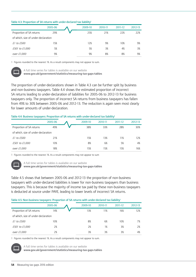|  | Table 4.3: Proportion of SA returns with under-declared tax liability <sup>1</sup> |
|--|------------------------------------------------------------------------------------|
|--|------------------------------------------------------------------------------------|

|                                     | 2005-06 | 2009-10 | 2010-11 | 2011-12 | 2012-13 |
|-------------------------------------|---------|---------|---------|---------|---------|
| Proportion of SA returns            | 29%     | 25%     | 21%     | 22%     | 22%     |
| of which, size of under-declaration |         |         |         |         |         |
| £1 to £500                          | 15%     | 12%     | 9%      | 10%     | 9%      |
| £501 to £1,000                      | 5%      | 5%      | 3%      | 4%      | 3%      |
| over £1,000                         | 9%      | 9%      | 8%      | 8%      | 9%      |

1 Figures rounded to the nearest 1%. As a result components may not appear to sum.



A full time series for tables is available on our website

**www.gov.uk/government/statistics/measuring-tax-gaps-tables**

The proportion of under-declarations shown in Table 4.3 can be further split by business and non-business taxpayers. Table 4.4 shows the estimated proportion of incorrect SA returns leading to under-declaration of liabilities for 2005-06 to 2012-13 for business taxpayers only. The proportion of incorrect SA returns from business taxpayers has fallen from 49% to 30% between 2005-06 and 2012-13. The reduction is again seen most clearly for lower amounts of under-declaration.

#### Table 4.4: Business taxpayers: Proportion of SA returns with under-declared tax liability<sup>1</sup>

|                                     | 2005-06 | 2009-10 | 2010-11 | 2011-12 | 2012-13 |
|-------------------------------------|---------|---------|---------|---------|---------|
| Proportion of SA returns            | 49%     | 38%     | 33%     | 28%     | 30%     |
| of which, size of under-declaration |         |         |         |         |         |
| $E1$ to $E500$                      | 21%     | 15%     | 13%     | 11%     | 12%     |
| £501 to £1,000                      | 10%     | 8%      | 6%      | 5%      | 4%      |
| over £1,000                         | 18%     | 15%     | 15%     | 15%     | 16%     |

1 Figures rounded to the nearest 1%. As a result components may not appear to sum



A full time series for tables is available on our website

**www.gov.uk/government/statistics/measuring-tax-gaps-tables**

Table 4.5 shows that between 2005-06 and 2012-13 the proportion of non-business taxpayers with under-declared liabilities is lower for non-business taxpayers than business taxpayers. This is because the majority of income tax paid by these non-business taxpayers is deducted at source under PAYE, leading to lower levels of incorrect SA returns.

#### Table 4.5: Non-business taxpayers: Proportion of SA returns with under-declared tax liability<sup>1</sup>

|                                     | 2005-06 | 2009-10 | 2010-11 | 2011-12 | 2012-13 |
|-------------------------------------|---------|---------|---------|---------|---------|
| Proportion of SA returns            | 14%     | 13%     | 11%     | 16%     | 12%     |
| of which, size of under-declaration |         |         |         |         |         |
| £1 to £500                          | 10%     | 8%      | 6%      | 10%     | 7%      |
| £501 to £1,000                      | 2%      | 2%      | 1%      | 3%      | 2%      |
| over £1,000                         | 2%      | 3%      | 3%      | 3%      | 4%      |

1 Figures rounded to the nearest 1%. As a result components may not appear to sum.



A full time series for tables is available on our website

**www.gov.uk/government/statistics/measuring-tax-gaps-tables**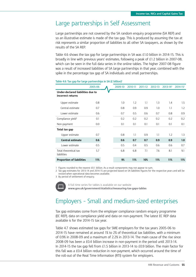### Large partnerships in Self Assessment

Large partnerships are not covered by the SA random enquiry programme (SA REP) and so an illustrative estimate is made of the tax gap. This is produced by assuming the tax at risk represents a similar proportion of liabilities to all other SA taxpayers, as shown by the results of the SA REP.

Table 4.6 shows the tax gap for large partnerships in SA was £1.0 billion in 2014-15. This is broadly in line with previous years' estimates, following a peak of £1.2 billion in 2007-08, which can be seen in the full data series in the online tables. The higher 2007-08 figure was a result of increased liabilities of SA large partnerships in that year, combined with the spike in the percentage tax gap of SA individuals and small partnerships.

|                                                        | 2005-06 | 2009-10 | 2010-11 | 2011-12 | 2012-13 | $2013 - 14^2$ | $2014 - 152$ |
|--------------------------------------------------------|---------|---------|---------|---------|---------|---------------|--------------|
| Under-declared liabilities due to<br>incorrect returns |         |         |         |         |         |               |              |
| Upper estimate                                         | 0.8     | 1.0     | 1.2     | 1.1     | 1.3     | 1.4           | $1.5\,$      |
| Central estimate                                       | 0.7     | 0.8     | 0.9     | 0.9     | 1.0     | 1.1           | 1.2          |
| Lower estimate                                         | 0.6     | 0.7     | 0.5     | 0.6     | 0.7     | 0.8           | 0.9          |
| Compliance yield <sup>3</sup>                          | 0.1     | 0.2     | 0.2     | 0.2     | 0.2     | 0.2           | 0.2          |
| Non-payment                                            | 0.0     | 0.1     | 0.1     | 0.1     | 0.1     | 0.1           | 0.1          |
| Total tax gap                                          |         |         |         |         |         |               |              |
| Upper estimate                                         | 0.7     | 0.8     | 1.1     | 0.9     | 1.1     | 1.2           | 1.3          |
| <b>Central estimate</b>                                | 0.6     | 0.6     | 0.7     | 0.7     | 0.9     | 0.9           | 1.0          |
| Lower estimate                                         | 0.5     | 0.5     | 0.4     | 0.5     | 0.6     | 0.6           | 0.7          |
| Total theoretical tax<br>liabilities                   | 5.7     | 6.8     | 6.8     | 7.1     | 7.6     | 8.1           | 9.1          |
| <b>Proportion of liabilities</b>                       | 11%     | 9%      | 11%     | 10%     | 11%     | 11%           | 11%          |
|                                                        |         |         |         |         |         |               |              |

Table 4.6: Tax gap for large partnerships in SA (£ billion)<sup>1</sup>

1 Figures rounded to the nearest £0.1 billion. As a result components may not appear to sum.

2 Tax gap estimates for 2013-14 and 2014-15 are projected based on SA liabilities figures for the respective years and will be revised when operational data becomes available.

3 By period of settlement of enquiry.



A full time series for tables is available on our website **www.gov.uk/government/statistics/measuring-tax-gaps-tables**

## Employers – Small and medium-sized enterprises

Tax gap estimates come from the employer compliance random enquiry programme (EC REP), data on compliance yield and data on non-payment. The latest EC REP data available is for the 2014-15 tax year.

Table 4.7 shows estimated tax gaps for SME employers for the tax years 2005-06 to 2014-15 have remained at around 1% to 2% of theoretical tax liabilities, with a minimum of 0.9% in 2008-09 and a maximum of 2.2% in 2013-14. The main cause of the rise since 2008-09 has been a £0.4 billion increase in non-payment in the period until 2013-14. In 2014-15 the tax gap fell from £1.5 billion in 2013-14 to £0.9 billion. The main factor for this fall was a £0.4 billion reduction in non-payment, which occurred around the time of the roll-out of the Real Time Information (RTI) system for employers.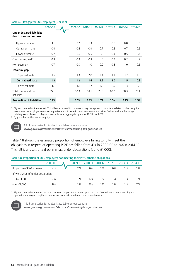|                                                               | 2005-06 | 2009-10 | 2010-11 | 2011-12 | 2012-13 | 2013-14 | 2014-15 |
|---------------------------------------------------------------|---------|---------|---------|---------|---------|---------|---------|
| <b>Under-declared liabilities</b><br>due to incorrect returns |         |         |         |         |         |         |         |
| Upper estimate                                                | 1.1     | 0.7     | 1.3     | 0.9     | 0.6     | 0.8     | 0.6     |
| Central estimate                                              | 0.9     | 0.6     | 0.9     | 0.7     | 0.5     | 0.7     | 0.5     |
| Lower estimate                                                | 0.7     | 0.5     | 0.5     | 0.5     | 0.4     | 0.5     | 0.4     |
| Compliance yield <sup>2</sup>                                 | 0.3     | 0.3     | 0.3     | 0.3     | 0.2     | 0.2     | 0.2     |
| Non-payment                                                   | 0.7     | 0.9     | 1.0     | 0.9     | 0.8     | 1.0     | 0.6     |
| Total tax gap                                                 |         |         |         |         |         |         |         |
| Upper estimate                                                | $1.5\,$ | 1.3     | 2.0     | 1.4     | 1.1     | 1.7     | 1.0     |
| Central estimate                                              | 1.3     | 1.2     | 1.6     | 1.2     | 1.0     | 1.5     | 0.9     |
| Lower estimate                                                | 1.1     | 1.1     | 1.2     | 1.0     | 0.9     | 1.3     | 0.9     |
| Total theoretical tax<br>liabilities                          | 77.1    | 82.3    | 84.1    | 70.5    | 69.2    | 68.3    | 70.1    |
| <b>Proportion of liabilities</b>                              | 1.7%    | 1.5%    | 1.9%    | 1.7%    | 1.5%    | 2.2%    | 1.3%    |

#### Table 4.7: Tax gap for SME employers (£ billion)<sup>1</sup>

1 Figures rounded to the nearest £0.1 billion. As a result components may not appear to sum. Year relates to when enquiry was opened as employer compliance queries are not made in relation to an annual return. Values exclude the tax gap relating to avoidance; this figure is available as an aggregate figure for IT, NICs and CGT.

2 By period of settlement of enquiry.



A full time series for tables is available on our website

**www.gov.uk/government/statistics/measuring-tax-gaps-tables**

Table 4.8 shows the estimated proportion of employers failing to fully meet their obligations in respect of operating PAYE has fallen from 41% in 2005-06 to 24% in 2014-15. This fall is a result of a drop in small under-declarations (up to £1,000).

#### **Table 4.8: Proportion of SME employers not meeting their PAYE scheme obligations1**

|                                     | 2005-06 | 2009-10 | 2010-11 | 2011-12 | 2012-13 | 2013-14 | 2014-15 |
|-------------------------------------|---------|---------|---------|---------|---------|---------|---------|
| Proportion of PAYE schemes          | 41%     | 27%     | 26%     | 25%     | 20%     | 21%     | 24%     |
| of which, size of under-declaration |         |         |         |         |         |         |         |
| $£1$ to $£1,000$                    | 23%     | 12%     | 12%     | 8%      | 5%      | 11%     | 7%      |
| over $£1,000$                       | 18%     | 14%     | 13%     | 17%     | 5%      | 11%     | 17%     |

1 Figures rounded to the nearest 1%. As a result components may not appear to sum. Year relates to when enquiry was opened as employer compliance queries are not made in relation to an annual return.



A full time series for tables is available on our website **www.gov.uk/government/statistics/measuring-tax-gaps-tables**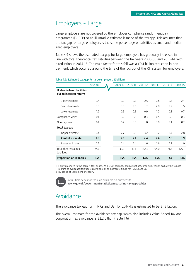### Employers – Large

Large employers are not covered by the employer compliance random enquiry programme (EC REP) so an illustrative estimate is made of the tax gap. This assumes that the tax gap for large employers is the same percentage of liabilities as small and mediumsized employers.

Table 4.9 shows the estimated tax gap for large employers has gradually increased in line with total theoretical tax liabilities between the tax years 2005-06 and 2013-14, with a reduction in 2014-15. The main factor for this fall was a £0.4 billion reduction in nonpayment, which occurred around the time of the roll-out of the RTI system for employers.

|                                                               | 2005-06 | 2009-10 | 2010-11 | 2011-12 | 2012-13 | 2013-14 | 2014-15 |
|---------------------------------------------------------------|---------|---------|---------|---------|---------|---------|---------|
| <b>Under-declared liabilities</b><br>due to incorrect returns |         |         |         |         |         |         |         |
| Upper estimate                                                | 2.4     | 2.2     | 2.3     | 2.5     | 2.8     | 2.5     | 2.4     |
| Central estimate                                              | 1.8     | $1.5\,$ | 1.6     | 1.7     | 2.0     | 1.7     | $1.5\,$ |
| Lower estimate                                                | 1.2     | 0.9     | 0.8     | 0.9     | 1.2     | 0.8     | 0.7     |
| Compliance yield <sup>2</sup>                                 | 0.1     | 0.2     | 0.3     | 0.3     | 0.5     | 0.2     | 0.3     |
| Non-payment                                                   | 0.1     | 0.7     | 0.8     | 1.0     | 1.0     | 1.1     | 0.7     |
| Total tax gap                                                 |         |         |         |         |         |         |         |
| Upper estimate                                                | 2.4     | 2.7     | 2.8     | 3.2     | 3.2     | 3.4     | 2.8     |
| <b>Central estimate</b>                                       | 1.8     | 2.0     | 2.1     | 2.4     | 2.4     | 2.5     | 1.9     |
| Lower estimate                                                | 1.2     | 1.4     | 1.4     | 1.6     | 1.6     | 1.7     | 1.0     |
| Total theoretical tax<br>liabilities                          | 124.6   | 139.3   | 143.1   | 162.3   | 164.0   | 171.3   | 176.1   |
| <b>Proportion of liabilities</b>                              | 1.5%    | 1.5%    | 1.5%    | 1.5%    | 1.5%    | 1.5%    | 1.1%    |
|                                                               |         |         |         |         |         |         |         |

#### Table 4.9: Estimated tax gap for large employers (£ billion)<sup>1</sup>

1 Figures rounded to the nearest £0.1 billion. As a result components may not appear to sum. Values exclude the tax gap relating to avoidance; this figure is available as an aggregate figure for IT, NICs and CGT.

2 By period of settlement of enquiry.



A full time series for tables is available on our website **www.gov.uk/government/statistics/measuring-tax-gaps-tables**

## Avoidance

The avoidance tax gap for IT, NICs and CGT for 2014-15 is estimated to be £1.3 billion.

The overall estimate for the avoidance tax gap, which also includes Value Added Tax and Corporation Tax avoidance, is £2.2 billion (Table 1.6).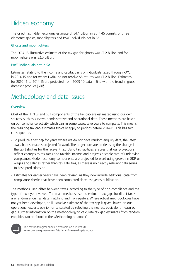## Hidden economy

The direct tax hidden economy estimate of £4.4 billion in 2014-15 consists of three elements: ghosts, moonlighters and PAYE individuals not in SA.

#### **Ghosts and moonlighters**

The 2014-15 illustrative estimate of the tax gap for ghosts was £1.2 billion and for moonlighters was £2.0 billion.

#### **PAYE individuals not in SA**

Estimates relating to the income and capital gains of individuals taxed through PAYE in 2014-15 and for whom HMRC do not receive SA returns was £1.2 billion. Estimates for 2010-11 to 2014-15 are projected from 2009-10 data in line with the trend in gross domestic product (GDP).

## Methodology and data issues

#### **Overview**

Most of the IT, NICs and CGT components of the tax gap are estimated using our own sources, such as surveys, administrative and operational data. These methods are based on our compliance activity which can, in some cases, take years to complete. This means the resulting tax gap estimates typically apply to periods before 2014-15. This has two consequences:

- To produce a tax gap for years where we do not have random enquiry data, the latest available estimate is projected forward. The projections are made using the change in the tax liabilities for the relevant tax. Using tax liabilities ensures that our projections reflect changes to tax rates and taxable income, and projects a stable rate of underlying compliance. Hidden economy components are projected forward using growth in GDP or wages and salaries rather than tax liabilities, as there is no directly relevant data series to base predictions on.
- Estimates for earlier years have been revised, as they now include additional data from compliance checks that have been completed since last year's publication.

The methods used differ between taxes, according to the type of non-compliance and the type of taxpayer involved. The main methods used to estimate tax gaps for direct taxes are random enquiries, data matching and risk registers. Where robust methodologies have not yet been developed, an illustrative estimate of the tax gap is given, based on our operational experts opinion or calculated by selecting the nearest equivalent measured gap. Further information on the methodology to calculate tax gap estimates from random enquiries can be found in the 'Methodological annex'.



The methodological annex is available on our website **www.gov.uk/government/statistics/measuring-tax-gaps**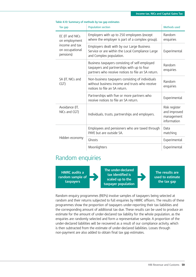| Tax gap                                        | <b>Population section</b>                                                                                                                          | Methods used                                               |
|------------------------------------------------|----------------------------------------------------------------------------------------------------------------------------------------------------|------------------------------------------------------------|
| EC (IT and NICs<br>on employment               | Employers with up to 250 employees (except<br>where the employer is part of a complex group).                                                      | Random<br>enquiries                                        |
| income and tax<br>on occupational<br>pensions) | Employers dealt with by our Large Business<br>Service or are within the Local Compliance Large<br>and Complex population.                          | Experimental                                               |
|                                                | Business taxpayers consisting of self-employed<br>taxpayers and partnerships with up to four<br>partners who receive notices to file an SA return. | Random<br>enquiries                                        |
| SA (IT, NICs and<br>CGT)                       | Non-business taxpayers consisting of individuals<br>without business income and trusts who receive<br>notices to file an SA return.                | Random<br>enquiries                                        |
|                                                | Partnerships with five or more partners who<br>receive notices to file an SA return.                                                               | Experimental                                               |
| Avoidance (IT,<br>NICs and CGT)                | Individuals, trusts, partnerships and employers.                                                                                                   | Risk register<br>and improved<br>management<br>information |
|                                                | Employees and pensioners who are taxed through<br>PAYE but are outside SA.                                                                         | Data<br>matching                                           |
| Hidden economy                                 | Ghosts                                                                                                                                             | Experimental                                               |
|                                                | Moonlighters                                                                                                                                       | Experimental                                               |

#### **Table 4.10: Summary of methods by tax gap estimates**

### Random enquiries

**HMRC audits a random sample of taxpayers**

**The under-declared tax identified is scaled up to the taxpayer population**

**The results are used to estimate the tax gap**

Random enquiry programmes (REPs) involve samples of taxpayers being selected at random and their returns subjected to full enquiries by HMRC officers. The results of these programmes show the proportion of taxpayers under-reporting their tax liabilities and the corresponding amount of additional tax due. These results can be used to produce an estimate for the amount of under-declared tax liability for the whole population, as the enquiries are randomly selected and form a representative sample. A proportion of the under-declared liabilities will be recovered as a result of our compliance activity, which is then subtracted from the estimate of under-declared liabilities. Losses through non-payment are also added to obtain final tax gap estimates.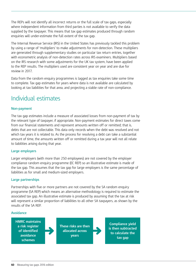The REPs will not identify all incorrect returns or the full scale of tax gaps, especially where independent information from third parties is not available to verify the data supplied by the taxpayer. This means that tax gap estimates produced through random enquiries will under-estimate the full extent of the tax gap.

The Internal Revenue Service (IRS) in the United States has previously tackled this problem by using a range of 'multipliers' to make adjustments for non-detection. These multipliers are generated through supplementary studies on particular tax return entries, together with econometric analysis of non-detection rates across IRS examiners. Multipliers based on the IRS research with some adjustments for the UK tax system, have been applied to the REP results. The multipliers used are consistent year on year and are due for review in 2017.

Data from the random enquiry programmes is lagged as tax enquiries take some time to complete. Tax gap estimates for years where data is not available are calculated by looking at tax liabilities for that area, and projecting a stable rate of non-compliance.

## Individual estimates

#### **Non-payment**

The tax gap estimates include a measure of associated losses from non-payment of tax by the relevant type of taxpayer, if appropriate. Non-payment estimates for direct taxes come from our financial statements and represent amounts written off or remitted; that is, debts that are not collectable. This data only records when the debt was resolved and not which tax years it is related to. As the process for resolving a debt can take a substantial amount of time, the amounts written off or remitted during a tax year will not all relate to liabilities arising during that year.

#### **Large employers**

Larger employers (with more than 250 employees) are not covered by the employer compliance random enquiry programme (EC REP) so an illustrative estimate is made of the tax gap. This assumes that the tax gap for large employers is the same percentage of liabilities as for small and medium-sized employers.

#### **Large partnerships**

Partnerships with five or more partners are not covered by the SA random enquiry programme (SA REP) which means an alternative methodology is required to estimate the associated tax gap. An illustrative estimate is produced by assuming that the tax at risk will represent a similar proportion of liabilities to all other SA taxpayers, as shown by the results of the SA REP.

#### **Avoidance**

**HMRC maintains a risk register of identified avoidance schemes**

**These risks are then allocated across years**

**Compliance yield is then subtracted to calculate the tax gap**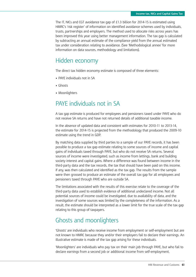The IT, NICs and CGT avoidance tax gap of £1.3 billion for 2014-15 is estimated using HMRC's 'risk register' of information on identified avoidance schemes used by individuals, trusts, partnerships and employers. The method used to allocate risks across years has been improved this year using better management information. The tax gap is calculated by subtracting an annual estimate of the compliance yield from the annual estimated tax under consideration relating to avoidance. (See 'Methodological annex' for more information on data sources, methodology and limitations).

### Hidden economy

The direct tax hidden economy estimate is composed of three elements:

- PAYE individuals not in SA
- Ghosts
- Moonlighters

### PAYE individuals not in SA

A tax gap estimate is produced for employees and pensioners taxed under PAYE who do not receive SA returns and have not returned details of additional taxable income.

In the absence of updated data and consistent with estimates for 2010-11 to 2013-14, the estimate for 2014-15 is projected from the methodology that produced the 2009-10 estimate using the trend in GDP.

By matching data supplied by third parties to a sample of our PAYE records, it has been possible to produce a tax gap estimate relating to some sources of income and capital gains of individuals taxed through PAYE, but who do not receive SA returns. Several sources of income were investigated, such as income from lettings, bank and building society interest and capital gains. Where a difference was found between income in the third-party data and the tax records, the tax that should have been paid on this income, if any, was then calculated and identified as the tax gap. The results from the sample were then grossed to produce an estimate of the overall tax gap for all employees and pensioners taxed through PAYE who are outside SA.

The limitations associated with the results of this exercise relate to the coverage of the third-party data used to establish evidence of additional undeclared income. Not all potential sources of income could be investigated, due to availability of data, and the investigation of some sources was limited by the completeness of the information. As a result, the estimate should be interpreted as a lower limit for the true scale of the tax gap relating to this group of taxpayers.

### Ghosts and moonlighters

'Ghosts' are individuals who receive income from employment or self-employment but are not known to HMRC because they and/or their employers fail to declare their earnings. An illustrative estimate is made of the tax gap arising for these individuals.

'Moonlighters' are individuals who pay tax on their main job through PAYE, but who fail to declare earnings from a second job or additional income from self-employment.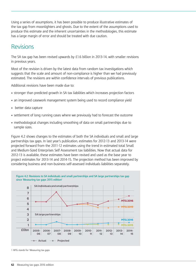Using a series of assumptions, it has been possible to produce illustrative estimates of the tax gap from moonlighters and ghosts. Due to the extent of the assumptions used to produce this estimate and the inherent uncertainties in the methodologies, this estimate has a large margin of error and should be treated with due caution.

### Revisions

The SA tax gap has been revised upwards by  $£1.6$  billion in 2013-14, with smaller revisions in previous years.

Most of the revision is driven by the latest data from random tax investigations which suggests that the scale and amount of non-compliance is higher than we had previously estimated. The revisions are within confidence intervals of previous publications.

Additional revisions have been made due to:

- stronger than predicted growth in SA tax liabilities which increases projection factors
- an improved casework management system being used to record compliance yield
- better data capture
- settlement of long running cases where we previously had to forecast the outcome
- methodological changes including smoothing of data on small partnerships due to sample sizes.

Figure 4.2 shows changes to the estimates of both the SA individuals and small and large partnerships tax gaps. In last year's publication, estimates for 2012-13 and 2013-14 were projected forward from the 2011-12 estimates using the trend in estimated total Small and Medium-Sized Enterprises Self Assessment tax liabilities. Now that actual data for 2012-13 is available, these estimates have been revised and used as the base year to project estimates for 2013-14 and 2014-15. The projection method has been improved by considering business and non-business self-assessed individuals liabilities separately.



1 MTG stands for 'Measuring tax gaps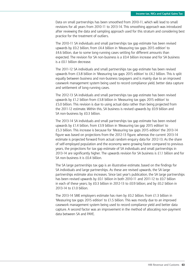Data on small partnerships has been smoothed from 2010-11, which will lead to small revisions for all years from 2010-11 to 2013-14. This smoothing approach was introduced after reviewing the data and sampling approach used for this stratum and considering best practice for the treatment of outliers.

The 2010-11 SA individuals and small partnerships tax gap estimate has been revised upwards by £0.2 billion, from £4.4 billion in 'Measuring tax gaps 2015 edition' to £4.6 billion, due to some long-running cases settling for different amounts than expected. The revision for SA non-business is a £0.4 billion increase and for SA business is a £0.1 billion decrease.

The 2011-12 SA individuals and small partnerships tax gap estimate has been revised upwards from £3.8 billion in 'Measuring tax gaps 2015 edition' to £4.2 billion. This is split equally between business and non-business taxpayers and is mainly due to an improved casework management system being used to record compliance yield, better data capture and settlement of long-running cases.

The 2012-13 SA individuals and small partnerships tax gap estimate has been revised upwards by £1.2 billion from £3.8 billion in 'Measuring tax gaps 2015 edition' to £5.0 billion. This revision is due to using actual data rather than being projected from the 2011-12 estimate. Within this, SA business is revised upwards by £0.9 billion and SA non-business by £0.3 billion.

The 2013-14 SA individuals and small partnerships tax gap estimate has been revised upwards by £1.4 billion, from £3.9 billion in 'Measuring tax gap 2015 edition' to £5.3 billion. This increase is because for 'Measuring tax gaps 2015 edition' the 2013-14 figure was based on projections from the 2012-13 figure, whereas the current 2013-14 estimate is projected forward from actual random enquiry data for 2012-13. As the share of self-employed population and the economy were growing faster compared to previous years, the projections for tax gap estimate of SA individuals and small partnerships in 2013-14 are significantly higher. The upwards revision for SA business is £1.1 billion and for SA non-business it is £0.4 billion.

The SA large partnerships tax gap is an illustrative estimate, based on the findings for SA individuals and large partnerships. As these are revised upwards, the SA large partnerships estimate also increases. Since last year's publication, the SA large partnerships has been revised upwards by £0.1 billion in both 2010-11 and 2011-12 to £0.7 billion in each of these years; by £0.3 billion in 2012-13 to £0.9 billion; and by £0.2 billion in 2013-14 to £1.0 billion.

The 2013-14 SME employers estimate has risen by £0.2 billion, from £1.3 billion in 'Measuring tax gaps 2015 edition' to £1.5 billion. This was mostly due to an improved casework management system being used to record compliance yield and better data capture. A second factor was an improvement in the method of allocating non-payment data between SA and PAYE.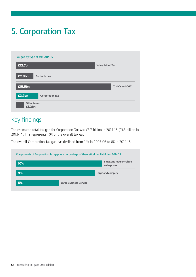# **5. Corporation Tax**

| £12.7bn |                      | <b>Value Added Tax</b> |
|---------|----------------------|------------------------|
| £2.8bn  | <b>Excise duties</b> |                        |
| £15.5bn |                      | IT, NICs and CGT       |
|         |                      |                        |

## Key findings

The estimated total tax gap for Corporation Tax was £3.7 billion in 2014-15 (£3.3 billion in 2013-14). This represents 10% of the overall tax gap.

The overall Corporation Tax gap has declined from 14% in 2005-06 to 8% in 2014-15.

|     | Components of Corporation Tax gap as a percentage of theoretical tax liabilities, 2014-15 |
|-----|-------------------------------------------------------------------------------------------|
| 10% | Small and medium-sized<br>enterprises                                                     |
| 9%  | Large and complex                                                                         |
| 5%  | <b>Large Business Service</b>                                                             |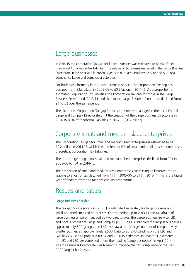### Large businesses

In 2014-15 the Corporation Tax gap for large businesses was estimated to be 6% of their theoretical Corporation Tax liabilities. This relates to businesses managed in the Large Business Directorate in this year and in previous years in our Large Business Service and our Local Compliance Large and Complex directorates.

For businesses formerly in the Large Business Service, the Corporation Tax gap has declined from £2.9 billion in 2005-06 to £0.9 billion in 2014-15. As a proportion of estimated Corporation Tax liabilities, the Corporation Tax gap for those in the Large Business Service until 2013-14, and then in the Large Business Directorate declined from 9% to 5% over the same period.

The illustrative Corporation Tax gap for those businesses managed in the Local Compliance Large and Complex Directorate until the creation of the Large Business Directorate in 2014-15 is 9% of theoretical liabilities in 2014-15 (£0.7 billion).

### Corporate small and medium-sized enterprises

The Corporation Tax gap for small and medium-sized enterprises is estimated to be £2.2 billion in 2014-15, which is equivalent to 10% of small and medium-sized enterprises theoretical Corporation Tax liabilities.

The percentage tax gap for small and medium-sized enterprises declined from 19% in 2005-06 to 10% in 2014-15.

The proportion of small and medium-sized enterprises submitting an incorrect return leading to a loss of tax declined from 41% in 2005-06 to 21% in 2013-14. This is the latest year of findings from the random enquiry programme.

### Results and tables

#### **Large Business Service**

The tax gap for Corporation Tax (CT) is estimated separately for large business and small and medium-sized enterprises. For the period up to 2013-14 the tax affairs of large businesses were managed by two directorates: the Large Business Service (LBS) and Local Compliance Large and Complex (L&C). The LBS handled the largest businesses, approximately 800 groups, and L&C oversaw a much larger number of comparatively smaller businesses, approximately 9,500. Data to 2012-13 which is on the LBS and L&C basis is used to project 2013-14 and 2014-15 estimates. In Chapter 1, estimates for LBS and L&C are combined under the heading 'Large businesses'. In April 2014 a Large Business Directorate was formed to manage the tax compliance of the UK's 2,100 largest businesses.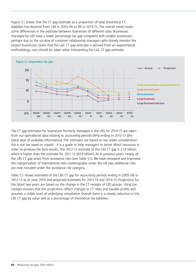Figure 5.1 shows that the CT gap estimate as a proportion of total theoretical CT liabilities has declined from 14% in 2005-06 to 8% in 2014-15. The overall trend masks some differences in the estimate between businesses of different sizes. Businesses managed by LBS have a lower percentage tax gap compared with smaller businesses, perhaps due to the scrutiny of customer relationship managers who closely monitor the largest businesses. Given that the L&C CT gap estimate is derived from an experimental methodology, care should be taken when interpreting the L&C CT gap estimate.



The CT gap estimates for businesses formerly managed in the LBS for 2014-15 are taken from our operational data relating to accounting periods (APs) ending in 2012-13 (the latest year of available information). The estimates are based on tax under consideration: this is not tax owed or unpaid – it is a guide to help managers to better direct resources in order to produce the best results. The 2012-13 estimate of the LBS CT gap is £1.0 billion, which is higher than the estimate for 2011-12 (£0.9 billion). As in previous vears, nearly all the LBS CT gap arises from avoidance risks (see Table 5.1). We have reviewed and improved the categorisation of international risks challengeable under the UK law, additional risks are now included under the avoidance risk category.

Table 5.1 shows estimates of the LBS CT gap for accounting periods ending in 2005-06 to 2012-13 as at June 2016 and projected estimates for 2013-14 and 2014-15. Projections for the latest two years are based on the change in the CT receipts of LBS groups. Using tax receipts ensures that the projections reflect changes to CT rates and taxable profits and assumes a stable level of underlying compliance. Overall there is a steady reduction in the LBS CT gap by value and as a percentage of theoretical tax liabilities.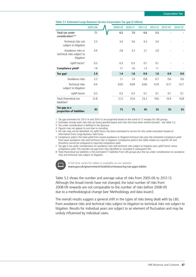| ◡                                                              |         |         |         |         |         |          |                          |
|----------------------------------------------------------------|---------|---------|---------|---------|---------|----------|--------------------------|
|                                                                | 2005-06 | 2009-10 | 2010-11 | 2011-12 | 2012-13 | 2013-141 | $2014 - 15$ <sup>1</sup> |
| Total tax under<br>consideration <sup>2,3,4</sup>              | 7.1     | 6.5     | 7.0     | 6.6     | 5.5     |          |                          |
| Technical risks not<br>subject to litigation                   | 2.3     | 3.4     | 3.6     | 4.3     | 3.4     |          |                          |
| Avoidance risks or<br>technical risks subject to<br>litigation | 4.4     | 2.8     | 3.2     | 2.1     | 2.0     |          |                          |
| Uplift factor <sup>5</sup>                                     | 0.3     | 0.3     | 0.3     | 0.1     | 0.1     |          |                          |
| Compliance yield <sup>6</sup>                                  | 1.9     | 1.7     | 1.6     | 1.3     | 1.1     |          |                          |
| Tax gap $7$                                                    | 2.9     | 1.4     | 1.8     | 0.9     | 1.0     | 0.9      | 0.9                      |
| Avoidance risks                                                | 2.2     | 1.1     | 1.4     | 0.8     | 0.7     | 0.6      | 0.6                      |
| Technical risks<br>subject to litigation                       | 0.4     | 0.05    | 0.09    | 0.06    | 0.19    | 0.17     | 0.17                     |
| Uplift factor                                                  | 0.3     | 0.3     | 0.3     | 0.1     | 0.1     | 0.1      | 0.1                      |
| Total theoretical tax<br>liabilities <sup>8</sup>              | 31.8    | 21.5    | 25.6    | 23.2    | 19.6    | 16.9     | 16.8                     |
| Tax gap as a<br>proportion of liabilities                      | 9%      | 7%      | 7%      | 4%      | 5%      | 5%       | 5%                       |

#### **Table 5.1: Estimated Large Business Service Corporation Tax gap (£ billion)**

1 Tax gap estimates for 2013-14 and 2014-15 are projected based on the trend in CT receipts for LBS groups.

2 Estimates include both risks that are being worked (open) and risks that have been settled (closed) – see Table 5.2.

3 Tax under consideration is defined in the glossary.

4 Figures may not appear to sum due to rounding.

5 All risks may not be identified. An uplift factor has been estimated to correct for this under-estimation based on information from Large Business Task Force.

6 Compliance yield is the total yield from closed avoidance or litigated technical risks plus the estimated compliance yield from open avoidance risks and technical risks in litigation. Compliance yield in this table relates to a specific AP and therefore cannot be compared to reported compliance yield.

7 Tax gap is tax under consideration on avoidance risks and technical risks subject to litigation plus uplift factor minus compliance yield. This includes tax gap from risks identified or recorded in subsequent APs.

8 Total theoretical tax liabilities is the estimated CT liabilities from LBS groups plus the tax under consideration on avoidance risks and technical risks subject to litigation.



A full time series for tables is available on our website **www.gov.uk/government/statistics/measuring-tax-gaps-tables**

Table 5.2 shows the number and average value of risks from 2005-06 to 2012-13. Although the broad trends have not changed, the total number of risks from 2008-09 onwards are not comparable to the number of risks before 2008-09 due to a methodological change (see 'Methodology and data issues').

The overall results suggest a general shift in the types of risks being dealt with by LBS; from avoidance risks and technical risks subject to litigation to technical risks not subject to litigation. Results for individual years are subject to an element of fluctuation and may be unduly influenced by individual cases.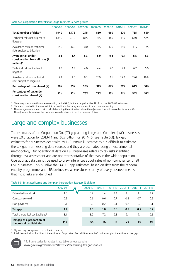|                                                                       | 2005-06 | 2006-07 | 2007-08 | 2008-09 | 2009-10 | 2010-11 | 2011-12 | 2012-13 |
|-----------------------------------------------------------------------|---------|---------|---------|---------|---------|---------|---------|---------|
| Total number of risks <sup>1,2</sup>                                  | 1,940   | 1,475   | 1,245   | 830     | 660     | 670     | 755     | 650     |
| Technical risks not subject to<br>litigation                          | 1,390   | 1,010   | 875     | 615     | 485     | 495     | 640     | 575     |
| Avoidance risks or technical<br>risks subject to litigation           | 550     | 460     | 370     | 215     | 175     | 180     | 115     | 75      |
| Average tax under<br>consideration from all risks (£<br>million $)^3$ | 3.3     | 4.7     | 5.3     | 6.9     | 9.4     | 10.1    | 8.5     | 8.3     |
| Technical risks not subject to<br>litigation                          | 1.7     | 2.8     | 4.0     | 4.4     | 7.0     | 7.3     | 6.7     | 6.0     |
| Avoidance risks or technical<br>risks subject to litigation           | 7.3     | 9.0     | 8.3     | 12.9    | 14.1    | 15.2    | 15.0    | 19.9    |
| Percentage of risks closed (%)                                        | 96%     | 95%     | 90%     | 91%     | 87%     | 76%     | 64%     | 51%     |
| Percentage of tax under<br>consideration closed (%)                   | 92%     | 92%     | 76%     | 79%     | 53%     | 74%     | 54%     | 31%     |

#### **Table 5.2: Corporation Tax risks for Large Business Service groups**

1 Risks may span more than one accounting period (AP), but are capped at five APs from the 2008-09 estimates.

2 Numbers rounded to the nearest 5. As a result numbers may not appear to sum due to rounding.

3 The average value of each risk is calculated using the estimates before the adjustment for risks recorded in future APs. The adjustments increase the tax under consideration but not the number of risks.

### Large and complex businesses

The estimates of the Corporation Tax (CT) gap among Large and Complex (L&C) businesses were £0.5 billion for 2013-14 and £0.7 billion for 2014-15 (see Table 5.3). Tax gap estimates for businesses dealt with by L&C remain illustrative as it is difficult to estimate the tax gap from existing data sources and they are estimated using an experimental methodology. Our operational data on L&C businesses relates to tax risks identified through risk assessment and are not representative of the risks in the wider population. Operational data cannot be used to draw inferences about rates of non-compliance for all L&C businesses. This is unlike the SME CT gap estimates, based on data from the random enquiry programme, and LBS businesses, where close scrutiny of every business means that most risks are identified.

#### Table 5.3: Estimated Large and Complex Corporation Tax gap (£ billion)<sup>1</sup>

|                                                           | 2007-08 | 2009-10 | 2010-11 | 201<br>1-12 | 2012-13 | 2013-14 | 2014-15 |
|-----------------------------------------------------------|---------|---------|---------|-------------|---------|---------|---------|
| Estimated tax at risk                                     | 1.6     | ۱.7     | 1.4     | 1.4         | 1.1     | 1.1     | 1.2     |
| Compliance yield                                          | 0.6     | 0.6     | 0.6     | 0.7         | 0.8     | 0.7     | 0.6     |
| Non-payment                                               | 0.1     | 0.2     | 0.2     | 0.1         | 0.2     | 0.1     | 0.1     |
| Tax gap                                                   | 1.1     | 1.3     | 1.0     | 0.8         | 0.5     | 0.5     | 0.7     |
| Total theoretical tax liabilities <sup>2</sup>            | 8.1     | 8.2     | 7.2     | 7.8         | 7.1     | 7.1     | 7.6     |
| Tax gap as a proportion of<br>theoretical tax liabilities | 14%     | 16%     | 14%     | 11%         | 7%      | 8%      | 9%      |

1 Figures may not appear to sum due to rounding.

2 Total theoretical tax liabilities is the estimated Corporation Tax liabilities from L&C businesses plus the estimated tax gap.



A full time series for tables is available on our website

**www.gov.uk/government/statistics/measuring-tax-gaps-tables**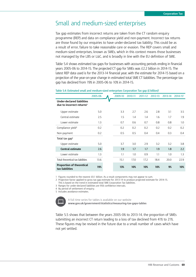## Small and medium-sized enterprises

Tax gap estimates from incorrect returns are taken from the CT random enquiry programme (REP) and data on compliance yield and non-payment. Incorrect tax returns are those found by our enquiries to have under-declared tax liability. This could be as a result of error, failure to take reasonable care or evasion. The REP covers small and medium-sized enterprises, known as SMEs, which in this context means those businesses not managed by the LBS or L&C, and is broadly in line with the EU definition of SME.

Table 5.4 shows estimated tax gaps for businesses with accounting periods ending in financial years 2005-06 to 2014-15. The projected CT gap for SMEs was £2.2 billion in 2014-15. The latest REP data used is for the 2013-14 financial year, with the estimate for 2014-15 based on a projection of the year-on-year change in estimated total SME CT liabilities. The percentage tax gap has declined from 19% in 2005-06 to 10% in 2014-15.

|                                                                            | 2005-06 | 2009-10 | 2010-11 | 2011-12 | 2012-13 | 2013-14 | 2014-15 <sup>2</sup> |
|----------------------------------------------------------------------------|---------|---------|---------|---------|---------|---------|----------------------|
| <b>Under-declared liabilities</b><br>due to incorrect returns <sup>3</sup> |         |         |         |         |         |         |                      |
| Upper estimate                                                             | 5.0     | 3.3     | 2.7     | 2.6     | 2.8     | 3.1     | 3.5                  |
| Central estimate                                                           | 2.5     | $1.5\,$ | 1.4     | 1.4     | 1.6     | 1.7     | 1.9                  |
| Lower estimate                                                             | 1.3     | 0.7     | 0.6     | 0.7     | 0.8     | 0.8     | 1.0                  |
| Compliance yield <sup>4</sup>                                              | 0.2     | 0.2     | 0.2     | 0.2     | 0.2     | 0.2     | 0.2                  |
| Non-payment                                                                | 0.2     | 0.5     | 0.5     | 0.4     | 0.4     | 0.3     | 0.4                  |
| Total tax $qap5$                                                           |         |         |         |         |         |         |                      |
| Upper estimate                                                             | 5.0     | 3.7     | 3.0     | 2.9     | 3.2     | 3.2     | 3.8                  |
| Central estimate                                                           | 2.6     | 1.9     | 1.7     | 1.7     | 1.9     | 1.8     | 2.2                  |
| Lower estimate                                                             | 1.3     | 1.1     | 1.0     | 0.9     | 1.1     | 1.0     | 1.3                  |
| Total theoretical tax liabilities                                          | 13.6    | 15.1    | 17.0    | 17.2    | 18.4    | 20.0    | 22.9                 |
| <b>Proportion of theoretical</b><br>tax liabilities                        | 19%     | 13%     | 10%     | 10%     | 10%     | 9%      | 10%                  |

#### Table 5.4: Estimated small and medium-sized enterprises Corporation Tax gap (£ billion)<sup>1</sup>

1 Figures rounded to the nearest £0.1 billion. As a result components may not appear to sum.

2 Projection factor applied to gross tax gap estimate for 2013-14 to produce projected estimate for 2014-15. This is based on the trend in estimated total SME Corporation Tax liabilities.

3 Ranges for under-declared liabilities are 95% confidence intervals.

4 By period of settlement of enquiry.

5 Includes avoidance estimates.



A full time series for tables is available on our website

**www.gov.uk/government/statistics/measuring-tax-gaps-tables**

Table 5.5 shows that between the years 2005-06 to 2013-14, the proportion of SMEs submitting an incorrect CT return leading to a loss of tax declined from 41% to 21%. These figures may be revised in the future due to a small number of cases which have not yet settled.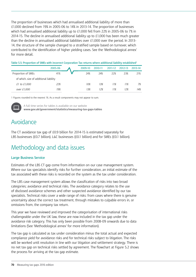The proportion of businesses which had annualised additional liability of more than £1,000 declined from 19% in 2005-06 to 14% in 2013-14. The proportion of businesses which had annualised additional liability up to £1,000 fell from 22% in 2005-06 to 7% in 2014-15. The decline in annualised additional liability up to £1,000 has been much greater than the decline in annualised additional liabilities over £1,000 over the period. In 2013- 14, the structure of the sample changed to a stratified sample based on turnover, which contributed to the identification of higher yielding cases. See the 'Methodological annex' for more detail.

Table 5.5: Proportion of SMEs with incorrect Corporation Tax returns where additional liability established<sup>1</sup>

|                                        | 2005-06 | 2009-10 | 2010-11 | 2011-12 | 2012-13 | 2013-14 |
|----------------------------------------|---------|---------|---------|---------|---------|---------|
| Proportion of SMEs                     | 41%     | 24%     | 24%     | 22%     | 23%     | 21%     |
| of which, size of additional liability |         |         |         |         |         |         |
| £1 to £1,000                           | 22%     | 10%     | 13%     | 11%     | 11%     | 7%      |
| over £1,000                            | 19%     | 13%     | 12%     | 11%     | 12%     | 14%     |

1 Figures rounded to the nearest 1%. As a result components may not appear to sum.



A full time series for tables is available on our website **www.gov.uk/government/statistics/measuring-tax-gaps-tables**

## Avoidance

The CT avoidance tax gap of £0.9 billion for 2014-15 is estimated separately for LBS businesses (£0.7 billion), L&C businesses (£0.1 billion) and for SMEs (£0.1 billion).

## Methodology and data issues

#### **Large Business Service**

Estimates of the LBS CT gap come from information on our case management system. Where our tax specialists identify risks for further consideration, an initial estimate of the tax associated with these risks is recorded on the system as the tax under consideration.

The LBS case management system allows the classification of risks into two broad categories; avoidance and technical risks. The avoidance category relates to the use of disclosed avoidance schemes and other suspected avoidance identified by our tax specialists. Technical risks cover a wide range of risks: from cases where there is genuine uncertainty about the correct tax treatment, through mistakes to culpable errors in, or omissions from, the company tax return.

This year we have reviewed and improved the categorisation of international risks challengeable under the UK law, these are now included in the tax gap under the avoidance risk category. This has only been possible from 2008-09 onwards due to data limitations (See 'Methodological annex' for more information).

The tax gap is calculated as tax under consideration minus the total actual and expected compliance yield for avoidance risks and for technical risks subject to litigation. The risks will be worked until resolution in line with our litigation and settlement strategy. There is no net tax gap on technical risks settled by agreement. The flowchart at Figure 5.2 shows the process for arriving at the tax gap estimate.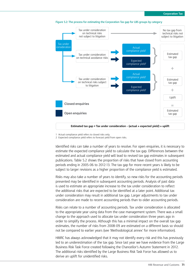

**Figure 5.2: The process for estimating the Corporation Tax gap for LBS groups by category**

1 Actual compliance yield refers to closed risks only. 2 Expected compliance yield refers to forecast yield from open risks.

Identified risks can take a number of years to resolve. For open enquiries, it is necessary to estimate the expected compliance yield to calculate the tax gap. Differences between the estimated and actual compliance yield will lead to revised tax gap estimates in subsequent publications. Table 5.2 shows the proportion of risks that have closed from accounting periods ending in 2005-06 to 2012-13. The tax gap for more recent years is likely to be subject to larger revisions as a higher proportion of the compliance yield is estimated.

Risks may also take a number of years to identify, so new risks for the accounting periods presented may be identified in subsequent accounting periods. Analysis of past data is used to estimate an appropriate increase to the tax under consideration to reflect the additional risks that are expected to be identified at a later point. Additional tax under consideration may result in additional tax gap. Larger adjustments to tax under consideration are made to recent accounting periods than to older accounting periods.

Risks can relate to a number of accounting periods. Tax under consideration is allocated to the appropriate year using data from the case management system. There was a small change to the approach used to allocate tax under consideration three years ago in order to simplify the process. Although this has a minimal impact on the overall tax gap estimates, the number of risks from 2008-09 are estimated on a different basis so should not be compared to earlier years (see 'Methodological annex' for more information).

HMRC has always acknowledged that it may not identify every risk and this has previously led to an underestimation of the tax gap. Since last year we have evidence from the Large Business Risk Task Force created following the Chancellor's Autumn Statement in 2012. The additional risks identified by the Large Business Risk Task Force has allowed us to derive an uplift for unidentified risks.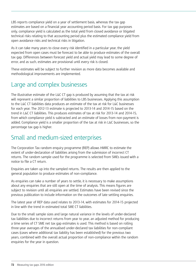LBS reports compliance yield on a year of settlement basis, whereas the tax gap estimates are based on a financial year accounting period basis. For tax gap purposes only, compliance yield is calculated as the total yield from closed avoidance or litigated technical risks relating to that accounting period plus the estimated compliance yield from open avoidance risks and technical risks in litigation.

As it can take many years to close every risk identified in a particular year, the yield expected from open cases must be forecast to be able to produce estimates of the overall tax gap. Differences between forecast yield and actual yield may lead to some degree of error, and as such, estimates are provisional until every risk is closed.

These estimates will be subject to further revision as more data becomes available and methodological improvements are implemented.

## Large and complex businesses

The illustrative estimate of the L&C CT gap is produced by assuming that the tax at risk will represent a similar proportion of liabilities to LBS businesses. Applying this assumption to the L&C CT liabilities data produces an estimate of the tax at risk for L&C businesses for each year. The 2012-13 estimate is projected to 2013-14 and 2014-15 based on the trend in L&C CT liabilities. This produces estimates of tax at risk for 2013-14 and 2014-15, from which compliance yield is subtracted and an estimate of losses from non-payment is added. Compliance yield is a smaller proportion of the tax at risk in L&C businesses, so the percentage tax gap is higher.

## Small and medium-sized enterprises

The Corporation Tax random enquiry programme (REP) allows HMRC to estimate the extent of under-declaration of liabilities arising from the submission of incorrect CT returns. The random sample used for the programme is selected from SMEs issued with a notice to file a CT return.

Enquiries are taken up into the sampled returns. The results are then applied to the general population to produce estimates of non-compliance.

As enquiries can take a number of years to settle, it is necessary to make assumptions about any enquiries that are still open at the time of analysis. This means figures are subject to revision until all enquiries are settled. Estimates have been revised since the previous publication to include information on the outcomes of late settling enquiries.

The latest year of REP data used relates to 2013-14, with estimates for 2014-15 projected in line with the trend in estimated total SME CT liabilities.

Due to the small sample sizes and large natural variance in the levels of under-declared tax liabilities due to incorrect returns from year to year, an adjusted method for producing a time series of CT SME net tax gap estimates is used. This method is based on rolling three-year averages of the annualised under-declared tax liabilities for non-compliant cases (cases where additional tax liability has been established) for the previous two years, combined with the overall actual proportion of non-compliance within the random enquiries for the year in question.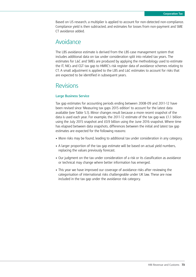Based on US research, a multiplier is applied to account for non-detected non-compliance. Compliance yield is then subtracted, and estimates for losses from non-payment and SME CT avoidance added.

### Avoidance

The LBS avoidance estimate is derived from the LBS case management system that includes additional data on tax under consideration split into related tax years. The estimates for L&C and SMEs are produced by applying the methodology used to estimate the IT, NICs and CGT tax gap to HMRC's risk register data of avoidance schemes relating to CT. A small adjustment is applied to the LBS and L&C estimates to account for risks that are expected to be identified in subsequent years.

### Revisions

#### **Large Business Service**

Tax gap estimates for accounting periods ending between 2008-09 and 2011-12 have been revised since 'Measuring tax gaps 2015 edition' to account for the latest data available (see Table 5.1). Minor changes result because a more recent snapshot of the data is used each year. For example, the 2011-12 estimate of the tax gap was £1.1 billion using the July 2015 snapshot and £0.9 billion using the June 2016 snapshot. Where time has elapsed between data snapshots, differences between the initial and latest tax gap estimates are expected for the following reasons:

- More risks may be found, leading to additional tax under consideration in any category.
- A larger proportion of the tax gap estimate will be based on actual yield numbers, replacing the values previously forecast.
- Our judgment on the tax under consideration of a risk or its classification as avoidance or technical may change where better information has emerged.
- This year we have improved our coverage of avoidance risks after reviewing the categorisation of international risks challengeable under UK law. These are now included in the tax gap under the avoidance risk category.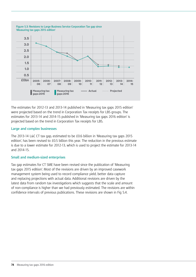<span id="page-73-0"></span>

The estimates for 2012-13 and 2013-14 published in 'Measuring tax gaps 2015 edition' were projected based on the trend in Corporation Tax receipts for LBS groups. The estimates for 2013-14 and 2014-15 published in 'Measuring tax gaps 2016 edition' is projected based on the trend in Corporation Tax receipts for LBS.

#### **Large and complex businesses**

The 2013-14 L&C CT tax gap, estimated to be £0.6 billion in 'Measuring tax gaps 2015 edition', has been revised to £0.5 billion this year. The reduction in the previous estimate is due to a lower estimate for 2012-13, which is used to project the estimate for 2013-14 and 2014-15.

#### **Small and medium-sized enterprises**

Tax gap estimates for CT SME have been revised since the publication of 'Measuring tax gaps 2015 edition'. Most of the revisions are driven by an improved casework management system being used to record compliance yield, better data capture and replacing projections with actual data. Additional revisions are driven by the latest data from random tax investigations which suggests that the scale and amount of non-compliance is higher than we had previously estimated. The revisions are within confidence intervals of previous publications. These revisions are shown in Fig 5.4.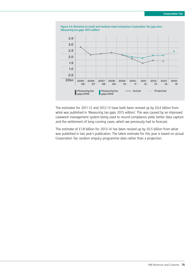<span id="page-74-0"></span>

The estimates for 2011-12 and 2012-13 have both been revised up by £0.4 billion from what was published in 'Measuring tax gaps 2015 edition'. This was caused by an improved casework management system being used to record compliance yield, better data capture and the settlement of long-running cases, which we previously had to forecast.

The estimate of £1.8 billion for 2013-14 has been revised up by £0.5 billion from what was published in last year's publication. The latest estimate for this year is based on actual Corporation Tax random enquiry programme data rather than a projection.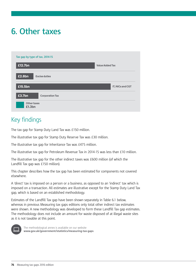# **6. Other taxes**

| £12.7bn |                        | <b>Value Added Tax</b> |                  |
|---------|------------------------|------------------------|------------------|
| £2.8bn  | <b>Excise duties</b>   |                        |                  |
| £15.5bn |                        |                        | IT, NICs and CGT |
| £3.7bn  | <b>Corporation Tax</b> |                        |                  |

## Key findings

The tax gap for Stamp Duty Land Tax was £150 million.

The illustrative tax gap for Stamp Duty Reserve Tax was £30 million.

The illustrative tax gap for Inheritance Tax was £475 million.

The illustrative tax gap for Petroleum Revenue Tax in 2014-15 was less than £10 million.

The illustrative tax gap for the other indirect taxes was £600 million (of which the Landfill Tax gap was £150 million).

This chapter describes how the tax gap has been estimated for components not covered elsewhere.

A 'direct' tax is imposed on a person or a business, as opposed to an 'indirect' tax which is imposed on a transaction. All estimates are illustrative except for the Stamp Duty Land Tax gap, which is based on an established methodology.

Estimates of the Landfill Tax gap have been shown separately in Table 6.1 below, whereas in previous Measuring tax gaps editions only total other indirect tax estimates were shown. A new methodology was developed to form these Landfill Tax gap estimates. The methodology does not include an amount for waste disposed of at illegal waste sites as it is not taxable at this point.



The methodological annex is available on our website **www.gov.uk/government/statistics/measuring-tax-gaps**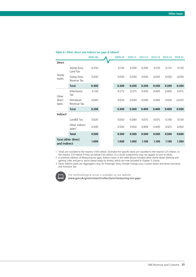|                          |                                      | 2005-06 | 2009-10 | 2010-11 | 2011-12 | 2012-13 | 2013-14 | 2014-15 |
|--------------------------|--------------------------------------|---------|---------|---------|---------|---------|---------|---------|
| <b>Direct</b>            |                                      |         |         |         |         |         |         |         |
| Stamp<br>duties          | Stamp Duty<br>Land Tax               | 0.250   | 0.150   | 0.200   | 0.200   | 0.150   | 0.125   | 0.150   |
|                          | Stamp Duty<br>Reserve Tax            | 0.030   | 0.030   | 0.030   | 0.030   | 0.020   | 0.030   | 0.030   |
|                          | <b>Total</b>                         | 0.300   | 0.200   | 0.200   | 0.200   | 0.200   | 0.200   | 0.200   |
| Other<br>direct<br>taxes | Inheritance<br>Tax                   | 0.150   | 0.275   | 0.275   | 0.350   | 0.400   | 0.400   | 0.475   |
|                          | Petroleum<br>Revenue Tax             | 0.040   | 0.020   | 0.030   | 0.040   | 0.040   | 0.020   | (0.010) |
|                          | Total                                | 0.200   | 0.300   | 0.300   | 0.400   | 0.400   | 0.400   | 0.500   |
| Indirect <sup>2</sup>    |                                      |         |         |         |         |         |         |         |
|                          | Landfill Tax                         | 0.020   | 0.050   | 0.040   | 0.075   | 0.075   | 0.100   | 0.150   |
|                          | Other indirect<br>taxes <sup>3</sup> | 0.500   | 0.500   | 0.450   | 0.400   | 0.400   | 0.425   | 0.450   |
|                          | <b>Total</b>                         | 0.500   | 0.500   | 0.500   | 0.500   | 0.500   | 0.500   | 0.600   |
| and indirect             | <b>Total other direct</b>            | 1.000   | 1.000   | 1.000   | 1.100   | 1.100   | 1.100   | 1.300   |

#### <span id="page-76-0"></span>Table 6.1 Other direct and indirect tax gaps (£ billion)<sup>1</sup>

1 Totals are rounded to the nearest £100 million. Estimates for specific taxes are rounded to the nearest £25 million, or the nearest £10 million if they are below £50 million. As a result components may not appear to sum to totals.

2 In previous editions of Measuring tax gaps, Indirect taxes in the table above included other excise duties (betting and gaming, cider and perry, spirits based ready-to-drinks), which are now included in Chapter 3: Excise.

3 Other indirect taxes are Aggregates Levy, Air Passenger Duty, Climate Change Levy, Custom duties and levies Insurance and Premium Tax.



The methodological annex is available on our website **www.gov.uk/government/collections/measuring-tax-gaps**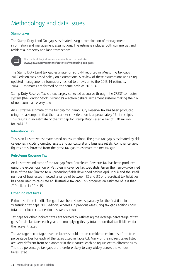## Methodology and data issues

#### **Stamp taxes**

The Stamp Duty Land Tax gap is estimated using a combination of management information and management assumptions. The estimate includes both commercial and residential property and land transactions.



The methodological annex is available on our website **www.gov.uk/government/statistics/measuring-tax-gaps**

The Stamp Duty Land tax gap estimate for 2013-14 reported in 'Measuring tax gaps 2015 edition' was based solely on assumptions. A review of these assumptions and using updated management information, has led to a revision to the 2013-14 estimate. 2014-15 estimates are formed on the same basis as 2013-14.

Stamp Duty Reserve Tax is a tax largely collected at source through the CREST computer system (the London Stock Exchange's electronic share settlement system) making the risk of non-compliance very low.

An illustrative estimate of the tax gap for Stamp Duty Reserve Tax has been produced using the assumption that the tax under consideration is approximately 1% of receipts. This results in an estimate of the tax gap for Stamp Duty Reserve Tax of £30 million for 2014-15.

#### **Inheritance Tax**

This is an illustrative estimate based on assumptions. The gross tax gap is estimated by risk categories including omitted assets and agricultural and business reliefs. Compliance yield figures are subtracted from the gross tax gap to estimate the net tax gap.

#### **Petroleum Revenue Tax**

An illustrative indicator of the tax gap from Petroleum Revenue Tax has been produced using the expert opinion of Petroleum Revenue Tax specialists. Given the narrowly-defined base of the tax (limited to oil-producing fields developed before April 1993) and the small number of businesses involved, a range of between 1% and 3% of theoretical tax liabilities has been used to calculate an illustrative tax gap. This produces an estimate of less than £10 million in 2014-15.

#### **Other indirect taxes**

Estimates of the Landfill Tax gap have been shown separately for the first time in 'Measuring tax gaps 2016 edition', whereas in previous Measuring tax gaps editions only total other indirect tax estimates were shown.

Tax gaps for other indirect taxes are formed by estimating the average percentage of tax gaps for similar taxes each year and multiplying this by total theoretical tax liabilities for the relevant taxes.

The average percentage revenue losses should not be considered estimates of the true percentage loss for each of the taxes listed in Table 6.1. Many of the indirect taxes listed are very different from one another in their nature, each being subject to different rules. The true percentage tax gaps are therefore likely to vary widely across the various taxes listed.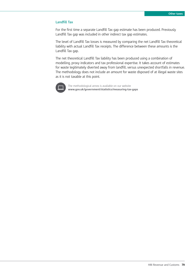#### **Landfill Tax**

For the first time a separate Landfill Tax gap estimate has been produced. Previously Landfill Tax gap was included in other indirect tax gap estimates.

The level of Landfill Tax losses is measured by comparing the net Landfill Tax theoretical liability with actual Landfill Tax receipts. The difference between these amounts is the Landfill Tax gap.

The net theoretical Landfill Tax liability has been produced using a combination of modelling, proxy indicators and tax professional expertise. It takes account of estimates for waste legitimately diverted away from landfill, versus unexpected shortfalls in revenue. The methodology does not include an amount for waste disposed of at illegal waste sites as it is not taxable at this point.



The methodological annex is available on our website **www.gov.uk/government/statistics/measuring-tax-gaps**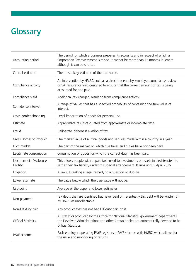# **Glossary**

| Accounting period                    | The period for which a business prepares its accounts and in respect of which a<br>Corporation Tax assessment is raised. It cannot be more than 12 months in length,<br>although it can be shorter.  |
|--------------------------------------|------------------------------------------------------------------------------------------------------------------------------------------------------------------------------------------------------|
| Central estimate                     | The most likely estimate of the true value.                                                                                                                                                          |
| Compliance activity                  | An intervention by HMRC, such as a direct tax enquiry, employer compliance review<br>or VAT assurance visit, designed to ensure that the correct amount of tax is being<br>accounted for and paid.   |
| Compliance yield                     | Additional tax charged, resulting from compliance activity.                                                                                                                                          |
| Confidence interval                  | A range of values that has a specified probability of containing the true value of<br>interest.                                                                                                      |
| Cross-border shopping                | Legal importation of goods for personal use.                                                                                                                                                         |
| Estimate                             | Approximate result calculated from approximate or incomplete data.                                                                                                                                   |
| Fraud                                | Deliberate, dishonest evasion of tax.                                                                                                                                                                |
| <b>Gross Domestic Product</b>        | The market value of all final goods and services made within a country in a year.                                                                                                                    |
| Illicit market                       | The part of the market on which due taxes and duties have not been paid.                                                                                                                             |
| Legitimate consumption               | Consumption of goods for which the correct duty has been paid.                                                                                                                                       |
| Liechtenstein Disclosure<br>Facility | This allows people with unpaid tax linked to investments or assets in Liechtenstein to<br>settle their tax liability under this special arrangement. It runs until 5 April 2016.                     |
| Litigation                           | A lawsuit seeking a legal remedy to a question or dispute.                                                                                                                                           |
| Lower estimate                       | The value below which the true value will not lie.                                                                                                                                                   |
| Mid-point                            | Average of the upper and lower estimates.                                                                                                                                                            |
| Non-payment                          | Tax debts that are identified but never paid off. Eventually this debt will be written off<br>by HMRC as uncollectable.                                                                              |
| Non-UK duty paid                     | Any product that has not had UK duty paid on it.                                                                                                                                                     |
| <b>Official Statistics</b>           | All statistics produced by the Office for National Statistics, government departments,<br>the Devolved Administrations and other Crown bodies are automatically deemed to be<br>Official Statistics. |
| PAYE scheme                          | Each employer operating PAYE registers a PAYE scheme with HMRC, which allows for<br>the issue and monitoring of returns.                                                                             |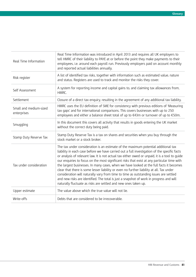| Real Time Information                 | Real Time Information was introduced in April 2013 and requires all UK employers to<br>tell HMRC of their liability to PAYE at or before the point they make payments to their<br>employees, i.e. around each payroll run. Previously employers paid on account monthly<br>and reported actual liabilities annually.                                                                                                                                                                                                                                                                                                                                                                                                                                                                                                              |
|---------------------------------------|-----------------------------------------------------------------------------------------------------------------------------------------------------------------------------------------------------------------------------------------------------------------------------------------------------------------------------------------------------------------------------------------------------------------------------------------------------------------------------------------------------------------------------------------------------------------------------------------------------------------------------------------------------------------------------------------------------------------------------------------------------------------------------------------------------------------------------------|
| Risk register                         | A list of identified tax risks, together with information such as estimated value, nature<br>and status. Registers are used to track and monitor the risks they cover.                                                                                                                                                                                                                                                                                                                                                                                                                                                                                                                                                                                                                                                            |
| Self Assessment                       | A system for reporting income and capital gains to, and claiming tax allowances from,<br>HMRC.                                                                                                                                                                                                                                                                                                                                                                                                                                                                                                                                                                                                                                                                                                                                    |
| Settlement                            | Closure of a direct tax enguiry, resulting in the agreement of any additional tax liability.                                                                                                                                                                                                                                                                                                                                                                                                                                                                                                                                                                                                                                                                                                                                      |
| Small and medium-sized<br>enterprises | HMRC uses the EU definition of SME for consistency with previous editions of 'Measuring<br>tax gaps' and for international comparisons. This covers businesses with up to 250<br>employees and either a balance sheet total of up to €43m or turnover of up to €50m.                                                                                                                                                                                                                                                                                                                                                                                                                                                                                                                                                              |
| Smuggling                             | In this document this covers all activity that results in goods entering the UK market<br>without the correct duty being paid.                                                                                                                                                                                                                                                                                                                                                                                                                                                                                                                                                                                                                                                                                                    |
| Stamp Duty Reserve Tax                | Stamp Duty Reserve Tax is a tax on shares and securities when you buy through the<br>stock market or a stock broker.                                                                                                                                                                                                                                                                                                                                                                                                                                                                                                                                                                                                                                                                                                              |
| Tax under consideration               | The tax under consideration is an estimate of the maximum potential additional tax<br>liability in each case before we have carried out a full investigation of the specific facts<br>or analysis of relevant law. It is not actual tax either owed or unpaid, it is a tool to quide<br>our enquiries to focus on the most significant risks that exist at any particular time with<br>the largest businesses. In many cases, when we have looked at the full facts it becomes<br>clear that there is some lesser liability or even no further liability at all. Tax under<br>consideration will naturally vary from time to time as outstanding issues are settled<br>and new risks are identified. The total is just a snapshot of work in progress and will<br>naturally fluctuate as risks are settled and new ones taken up. |
| Upper estimate                        | The value above which the true value will not lie.                                                                                                                                                                                                                                                                                                                                                                                                                                                                                                                                                                                                                                                                                                                                                                                |
| Write-offs                            | Debts that are considered to be irrecoverable.                                                                                                                                                                                                                                                                                                                                                                                                                                                                                                                                                                                                                                                                                                                                                                                    |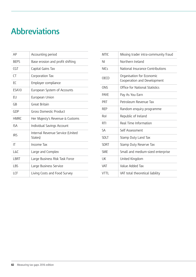# **Abbreviations**

| AP          | Accounting period                           |
|-------------|---------------------------------------------|
| <b>BEPS</b> | Base erosion and profit shifting            |
| CGT         | Capital Gains Tax                           |
| <b>CT</b>   | Corporation Tax                             |
| EC          | Employer compliance                         |
| ESA10       | European System of Accounts                 |
| EU          | European Union                              |
| GB          | Great Britain                               |
| GDP         | Gross Domestic Product                      |
| <b>HMRC</b> | Her Majesty's Revenue & Customs             |
| <b>ISA</b>  | Individual Savings Account                  |
| <b>IRS</b>  | Internal Revenue Service (United<br>States) |
| IT          | Income Tax                                  |
| L&C         | Large and Complex                           |
| <b>LBRT</b> | Large Business Risk Task Force              |
| LBS         | Large Business Service                      |
| LCF         | Living Costs and Food Survey                |

| <b>MTIC</b> | Missing trader intra-community fraud                     |
|-------------|----------------------------------------------------------|
| ΝI          | Northern Ireland                                         |
| <b>NICs</b> | National Insurance Contributions                         |
| OECD        | Organisation for Economic<br>Cooperation and Development |
| ONS         | Office for National Statistics                           |
| <b>PAYF</b> | Pay As You Earn                                          |
| <b>PRT</b>  | Petroleum Revenue Tax                                    |
| <b>RFP</b>  | Random enquiry programme                                 |
| Rol         | Republic of Ireland                                      |
| RTI         | Real Time Information                                    |
| SΑ          | Self Assessment                                          |
| <b>SDLT</b> | Stamp Duty Land Tax                                      |
| <b>SDRT</b> | Stamp Duty Reserve Tax                                   |
| <b>SME</b>  | Small and medium-sized enterprise                        |
| UK          | United Kingdom                                           |
| <b>VAT</b>  | Value Added Tax                                          |
| VTTI        | VAT total theoretical liability                          |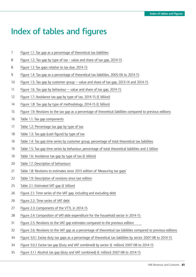# **Index of tables and figures**

- [Figure 1.1: Tax gap as a percentage of theoretical tax liabilities](#page-6-0)
- [Figure 1.2: Tax gap by type of tax value and share of tax gap, 2014-15](#page-7-0)
- [Figure 1.3 Tax gaps relative to tax due, 2014-15](#page-7-0)
- [Figure 1.4: Tax gap as a percentage of theoretical tax liabilities, 2005-06 to 2014-15](#page-8-0)
- [Figure 1.5: Tax gap by customer group value and share of tax gap, 2013-14 and 2014-15](#page-9-0)
- [Figure 1.6: Tax gap by behaviour value and share of tax gap, 2014-15](#page-10-0)
- [Figure 1.7: Avoidance tax gap by type of tax, 2014-15 \(£ billion\)](#page-11-0)
- [Figure 1.8: Tax gap by type of methodology, 2014-15 \(£ billion\)](#page-13-0)
- [Figure 1.9: Revisions to the tax gap as a percentage of theoretical liabilities compared to previous editions](#page-14-0)
- [Table 1.1: Tax gap components](#page-15-0)
- [Table 1.2: Percentage tax gap by type of tax](#page-16-0)
- [Table 1.3: Tax gap \(cash figure\) by type of tax](#page-17-0)
- [Table 1.4: Tax gap time series by customer group, percentage of total theoretical tax liabilities](#page-18-0)
- 19 Table 1.5: Tax gap time series by behaviour, percentage of total theoretical liabilities and  $E$  billion
- [Table 1.6: Avoidance tax gap by type of tax \(£ billion\)](#page-18-0)
- [Table 1.7: Description of behaviours](#page-19-0)
- [Table 1.8: Revisions to estimates since 2015 edition of 'Measuring tax gaps'](#page-20-0)
- [Table 1.9: Description of revisions since last edition](#page-21-0)
- [Table 2.1: Estimated VAT gap \(£ billion\)](#page-24-0)
- [Figure 2.1: Time series of the VAT gap, including and excluding debt](#page-25-0)
- [Figure 2.2: Time series of VAT debt](#page-25-0)
- [Figure 2.3: Components of the VTTL in 2014-15](#page-26-0)
- [Figure 2.4: Composition of VAT-able expenditure for the household sector in 2014-15](#page-27-0)
- [Figure 2.5: Revisions to the VAT gap estimates compared to the previous edition](#page-30-0)
- [Figure 2.6: Revisions to the VAT gap as a percentage of theoretical tax liabilities compared to previous editions](#page-31-0)
- [Figure 3.0.1 Excise duty tax gaps as a percentage of theoretical tax liabilities by sector 2007-08 to 2014-15](#page-33-0)
- [Figure 3.0.2 Excise tax gap \(Duty and VAT combined\) by sector \(£ million\) 2007-08 to 2014-15](#page-33-0)
- [Figure 3.1.1 Alcohol tax gap \(duty and VAT combined\) \(£ million\) 2007-08 to 2014-15](#page-34-0)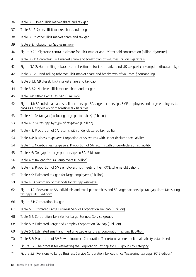- [Table 3.1.1 Beer: Illicit market share and tax gap](#page-35-0)
- [Table 3.1.2 Spirits: Illicit market share and tax gap](#page-36-0)
- [Table 3.1.3: Wine: Illicit market share and tax gap](#page-37-0)
- [Table 3.2: Tobacco Tax Gap \(£ million\)](#page-38-0)
- [Figure 3.2.1: Cigarette central estimate for illicit market and UK tax paid consumption \(billion cigarettes\)](#page-39-0)
- [Table 3.2.1: Cigarettes: Illicit market share and breakdown of volumes \(billion cigarettes\)](#page-40-0)
- [Figure 3.2.2: Hand-rolling tobacco central estimate for illicit market and UK tax paid consumption \(thousand kg\)](#page-41-0)
- [Table 3.2.2: Hand-rolling tobacco: Illicit market share and breakdown of volumes \(thousand kg\)](#page-41-0)
- [Table 3.3.1: GB diesel: Illicit market share and tax gap](#page-42-0)
- [Table 3.3.2: NI diesel: Illicit market share and tax gap](#page-43-0)
- [Table 3.4: Other Excise Tax Gap \(£ million\)](#page-44-0)
- [Figure 4.1: SA individuals and small partnerships, SA large partnerships, SME employers and large employers tax](#page-51-0)  [gaps as a proportion of theoretical tax liabilities](#page-51-0)
- [Table 4.1: SA tax gap \(excluding large partnerships\) \(£ billion\)](#page-52-0)
- [Table 4.2: SA tax gap by type of taxpayer \(£ billion\)](#page-52-0)
- [Table 4.3: Proportion of SA returns with under-declared tax liability](#page-53-0)
- [Table 4.4: Business taxpayers: Proportion of SA returns with under-declared tax liability](#page-53-0)
- [Table 4.5: Non-business taxpayers: Proportion of SA returns with under-declared tax liability](#page-53-0)
- [Table 4.6: Tax gap for large partnerships in SA \(£ billion\)](#page-54-0)
- [Table 4.7: Tax gap for SME employers \(£ billion\)](#page-55-0)
- [Table 4.8: Proportion of SME employers not meeting their PAYE scheme obligations](#page-55-0)
- [Table 4.9: Estimated tax gap for large employers \(£ billion\)](#page-56-0)
- [Table 4.10: Summary of methods by tax gap estimates](#page-58-0)
- [Figure 4.2: Revisions to SA individuals and small partnerships and SA large partnerships tax gap since 'Measuring](#page-61-0)  [tax gaps 2015 edition'](#page-61-0)
- [Figure 5.1: Corporation Tax gap](#page-65-0)
- [Table 5.1: Estimated Large Business Service Corporation Tax gap \(£ billion\)](#page-66-0)
- [Table 5.2: Corporation Tax risks for Large Business Service groups](#page-67-0)
- [Table 5.3: Estimated Large and Complex Corporation Tax gap \(£ billion\)](#page-67-0)
- [Table 5.4: Estimated small and medium-sized enterprises Corporation Tax gap \(£ billion\)](#page-68-0)
- [Table 5.5: Proportion of SMEs with incorrect Corporation Tax returns where additional liability established](#page-69-0)
- [Figure 5.2: The process for estimating the Corporation Tax gap for LBS groups by category](#page-70-0)
- [Figure 5.3: Revisions to Large Business Service Corporation Tax gap since 'Measuring tax gaps 2015 edition'](#page-73-0)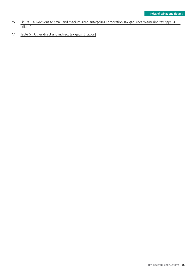- 75 [Figure 5.4: Revisions to small and medium-sized enterprises Corporation Tax gap since 'Measuring tax gaps 2015](#page-74-0)  [edition'](#page-74-0)
- 77 [Table 6.1 Other direct and indirect tax gaps \(£ billion\)](#page-76-0)